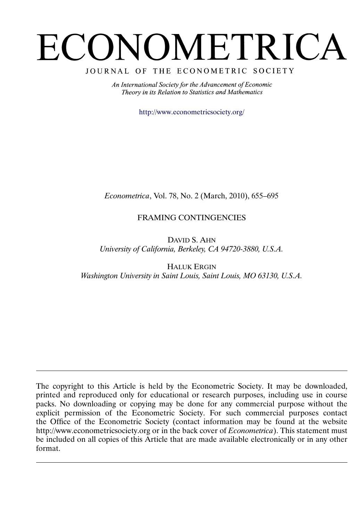# ECONOMETRICA

# JOURNAL OF THE ECONOMETRIC SOCIETY

An International Society for the Advancement of Economic Theory in its Relation to Statistics and Mathematics

<http://www.econometricsociety.org/>

*Econometrica*, Vol. 78, No. 2 (March, 2010), 655–695

# FRAMING CONTINGENCIES

DAVID S. AHN *University of California, Berkeley, CA 94720-3880, U.S.A.*

HALUK ERGIN *Washington University in Saint Louis, Saint Louis, MO 63130, U.S.A.*

The copyright to this Article is held by the Econometric Society. It may be downloaded, printed and reproduced only for educational or research purposes, including use in course packs. No downloading or copying may be done for any commercial purpose without the explicit permission of the Econometric Society. For such commercial purposes contact the Office of the Econometric Society (contact information may be found at the website http://www.econometricsociety.org or in the back cover of *Econometrica*). This statement must be included on all copies of this Article that are made available electronically or in any other format.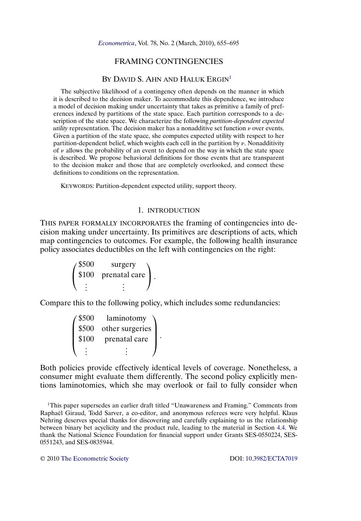# FRAMING CONTINGENCIES

## BY DAVID S. AHN AND HALUK ERGIN<sup>1</sup>

<span id="page-1-0"></span>The subjective likelihood of a contingency often depends on the manner in which it is described to the decision maker. To accommodate this dependence, we introduce a model of decision making under uncertainty that takes as primitive a family of preferences indexed by partitions of the state space. Each partition corresponds to a description of the state space. We characterize the following *partition-dependent expected utility* representation. The decision maker has a nonadditive set function  $\nu$  over events. Given a partition of the state space, she computes expected utility with respect to her partition-dependent belief, which weights each cell in the partition by  $\nu$ . Nonadditivity of  $\nu$  allows the probability of an event to depend on the way in which the state space is described. We propose behavioral definitions for those events that are transparent to the decision maker and those that are completely overlooked, and connect these definitions to conditions on the representation.

KEYWORDS: Partition-dependent expected utility, support theory.

# 1. INTRODUCTION

THIS PAPER FORMALLY INCORPORATES the framing of contingencies into decision making under uncertainty. Its primitives are descriptions of acts, which map contingencies to outcomes. For example, the following health insurance policy associates deductibles on the left with contingencies on the right:

> $\sqrt{2}$  $\mathbf{I}$ \$500 surgery \$100 prenatal care  $\frac{1}{2}$   $\frac{1}{2}$   $\frac{1}{2}$ ⎞  $\cdot$

Compare this to the following policy, which includes some redundancies:

| $\sqrt{\$500}$ | laminotomy      |  |
|----------------|-----------------|--|
| \$500          | other surgeries |  |
| \$100          | prenatal care   |  |
|                |                 |  |

Both policies provide effectively identical levels of coverage. Nonetheless, a consumer might evaluate them differently. The second policy explicitly mentions laminotomies, which she may overlook or fail to fully consider when

1This paper supersedes an earlier draft titled "Unawareness and Framing." Comments from Raphaël Giraud, Todd Sarver, a co-editor, and anonymous referees were very helpful. Klaus Nehring deserves special thanks for discovering and carefully explaining to us the relationship between binary bet acyclicity and the product rule, leading to the material in Section [4.4.](#page-17-0) We thank the National Science Foundation for financial support under Grants SES-0550224, SES-0551243, and SES-0835944.

© 2010 [The Econometric Society](http://www.econometricsociety.org/) DOI: [10.3982/ECTA7019](http://dx.doi.org/10.3982/ECTA7019)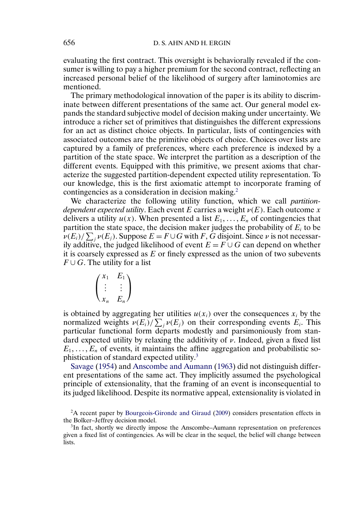<span id="page-2-0"></span>evaluating the first contract. This oversight is behaviorally revealed if the consumer is willing to pay a higher premium for the second contract, reflecting an increased personal belief of the likelihood of surgery after laminotomies are mentioned.

The primary methodological innovation of the paper is its ability to discriminate between different presentations of the same act. Our general model expands the standard subjective model of decision making under uncertainty. We introduce a richer set of primitives that distinguishes the different expressions for an act as distinct choice objects. In particular, lists of contingencies with associated outcomes are the primitive objects of choice. Choices over lists are captured by a family of preferences, where each preference is indexed by a partition of the state space. We interpret the partition as a description of the different events. Equipped with this primitive, we present axioms that characterize the suggested partition-dependent expected utility representation. To our knowledge, this is the first axiomatic attempt to incorporate framing of contingencies as a consideration in decision making.<sup>2</sup>

We characterize the following utility function, which we call *partitiondependent expected utility*. Each event E carries a weight  $\nu(E)$ . Each outcome x delivers a utility  $u(x)$ . When presented a list  $E_1, \ldots, E_n$  of contingencies that partition the state space, the decision maker judges the probability of  $E_i$  to be  $\nu(E_i)/\sum_j \nu(E_j)$ . Suppose  $E = F \cup G$  with F, G disjoint. Since  $\nu$  is not necessarily additive, the judged likelihood of event  $E = F \cup G$  can depend on whether it is coarsely expressed as  $E$  or finely expressed as the union of two subevents  $F \cup G$ . The utility for a list

$$
\begin{pmatrix} x_1 & E_1 \\ \vdots & \vdots \\ x_n & E_n \end{pmatrix}
$$

is obtained by aggregating her utilities  $u(x_i)$  over the consequences  $x_i$  by the normalized weights  $\nu(E_i)/\sum_j \nu(E_j)$  on their corresponding events  $E_i$ . This particular functional form departs modestly and parsimoniously from standard expected utility by relaxing the additivity of  $\nu$ . Indeed, given a fixed list  $E_1, \ldots, E_n$  of events, it maintains the affine aggregation and probabilistic sophistication of standard expected utility.3

Savage [\(1954\)](#page-40-0) and [Anscombe and Aumann](#page-40-0) [\(1963\)](#page-40-0) did not distinguish different presentations of the same act. They implicitly assumed the psychological principle of extensionality, that the framing of an event is inconsequential to its judged likelihood. Despite its normative appeal, extensionality is violated in

<sup>&</sup>lt;sup>2</sup>A recent paper by [Bourgeois-Gironde and Giraud](#page-40-0) [\(2009\)](#page-40-0) considers presentation effects in the Bolker–Jeffrey decision model.

<sup>&</sup>lt;sup>3</sup>In fact, shortly we directly impose the Anscombe-Aumann representation on preferences given a fixed list of contingencies. As will be clear in the sequel, the belief will change between lists.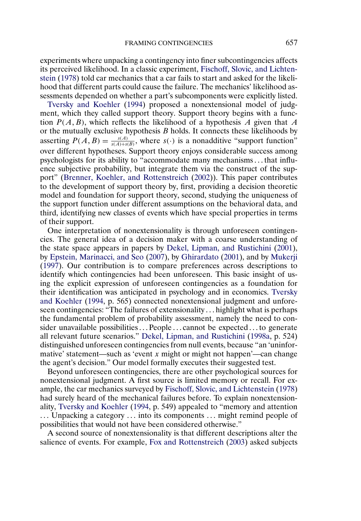<span id="page-3-0"></span>experiments where unpacking a contingency into finer subcontingencies affects its perceived likelihood. In a classic experiment, [Fischoff, Slovic, and Lichten](#page-40-0)[stein](#page-40-0) [\(1978\)](#page-40-0) told car mechanics that a car fails to start and asked for the likelihood that different parts could cause the failure. The mechanics' likelihood assessments depended on whether a part's subcomponents were explicitly listed.

[Tversky and Koehler](#page-41-0) [\(1994\)](#page-41-0) proposed a nonextensional model of judgment, which they called support theory. Support theory begins with a function  $P(A, B)$ , which reflects the likelihood of a hypothesis A given that A or the mutually exclusive hypothesis  $B$  holds. It connects these likelihoods by asserting  $P(A, B) = \frac{s(A)}{s(A) + s(B)}$ , where  $s(\cdot)$  is a nonadditive "support function" over different hypotheses. Support theory enjoys considerable success among psychologists for its ability to "accommodate many mechanisms...that influence subjective probability, but integrate them via the construct of the support" [\(Brenner, Koehler, and Rottenstreich](#page-40-0) [\(2002\)](#page-40-0)). This paper contributes to the development of support theory by, first, providing a decision theoretic model and foundation for support theory, second, studying the uniqueness of the support function under different assumptions on the behavioral data, and third, identifying new classes of events which have special properties in terms of their support.

One interpretation of nonextensionality is through unforeseen contingencies. The general idea of a decision maker with a coarse understanding of the state space appears in papers by [Dekel, Lipman, and Rustichini](#page-40-0) [\(2001\)](#page-40-0), by [Epstein, Marinacci, and Seo](#page-40-0) [\(2007\)](#page-40-0), by [Ghirardato](#page-40-0) [\(2001\)](#page-40-0), and by [Mukerji](#page-40-0) [\(1997\)](#page-40-0). Our contribution is to compare preferences across descriptions to identify which contingencies had been unforeseen. This basic insight of using the explicit expression of unforeseen contingencies as a foundation for their identification was anticipated in psychology and in economics. [Tversky](#page-41-0) [and Koehler](#page-41-0) [\(1994,](#page-41-0) p. 565) connected nonextensional judgment and unforeseen contingencies: "The failures of extensionality ... highlight what is perhaps the fundamental problem of probability assessment, namely the need to consider unavailable possibilities  $\ldots$  People  $\ldots$  cannot be expected  $\ldots$  to generate all relevant future scenarios." [Dekel, Lipman, and Rustichini](#page-40-0) [\(1998a,](#page-40-0) p. 524) distinguished unforeseen contingencies from null events, because "an 'uninformative' statement—such as 'event x might or might not happen'—can change the agent's decision." Our model formally executes their suggested test.

Beyond unforeseen contingencies, there are other psychological sources for nonextensional judgment. A first source is limited memory or recall. For example, the car mechanics surveyed by [Fischoff, Slovic, and Lichtenstein](#page-40-0) [\(1978\)](#page-40-0) had surely heard of the mechanical failures before. To explain nonextensionality, [Tversky and Koehler](#page-41-0) [\(1994,](#page-41-0) p. 549) appealed to "memory and attention ... Unpacking a category ... into its components ... might remind people of possibilities that would not have been considered otherwise."

A second source of nonextensionality is that different descriptions alter the salience of events. For example, [Fox and Rottenstreich](#page-40-0) [\(2003\)](#page-40-0) asked subjects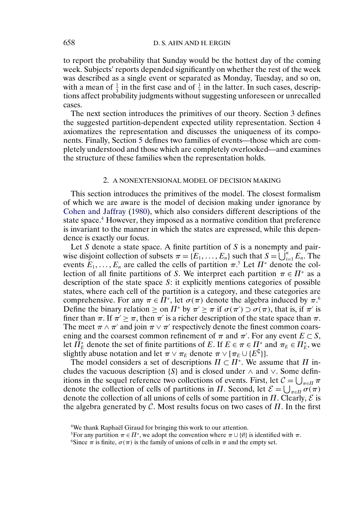to report the probability that Sunday would be the hottest day of the coming week. Subjects' reports depended significantly on whether the rest of the week was described as a single event or separated as Monday, Tuesday, and so on, with a mean of  $\frac{1}{3}$  in the first case and of  $\frac{1}{7}$  in the latter. In such cases, descriptions affect probability judgments without suggesting unforeseen or unrecalled cases.

The next section introduces the primitives of our theory. Section [3](#page-7-0) defines the suggested partition-dependent expected utility representation. Section [4](#page-10-0) axiomatizes the representation and discusses the uniqueness of its components. Finally, Section [5](#page-18-0) defines two families of events—those which are completely understood and those which are completely overlooked—and examines the structure of these families when the representation holds.

#### 2. A NONEXTENSIONAL MODEL OF DECISION MAKING

This section introduces the primitives of the model. The closest formalism of which we are aware is the model of decision making under ignorance by [Cohen and Jaffray](#page-40-0) [\(1980\)](#page-40-0), which also considers different descriptions of the state space.<sup>4</sup> However, they imposed as a normative condition that preference is invariant to the manner in which the states are expressed, while this dependence is exactly our focus.

Let S denote a state space. A finite partition of S is a nonempty and pairwise disjoint collection of subsets  $\pi = \{E_1, \ldots, E_n\}$  such that  $S = \bigcup_{i=1}^n E_n$ . The events  $E_1, \ldots, E_n$  are called the cells of partition  $\pi$ <sup>5</sup>. Let  $\Pi^*$  denote the collection of all finite partitions of S. We interpret each partition  $\pi \in \Pi^*$  as a description of the state space S: it explicitly mentions categories of possible states, where each cell of the partition is a category, and these categories are comprehensive. For any  $\pi \in \Pi^*$ , let  $\sigma(\pi)$  denote the algebra induced by  $\pi$ .<sup>6</sup> Define the binary relation  $\geq$  on  $\Pi^*$  by  $\pi' \geq \pi$  if  $\sigma(\pi') \supset \sigma(\pi)$ , that is, if  $\pi'$  is finer than  $\pi$ . If  $\pi > \pi$ , then  $\pi'$  is a richer description of the state space than  $\pi$ . The meet  $\pi \wedge \pi'$  and join  $\pi \vee \pi'$  respectively denote the finest common coarsening and the coarsest common refinement of  $\pi$  and  $\pi'$ . For any event  $E \subset S$ , let  $\Pi_{E}^{*}$  denote the set of finite partitions of E. If  $E \in \pi \in \Pi_{\rho}^{*}$  and  $\pi_{E} \in \Pi_{E}^{*}$ , we slightly abuse notation and let  $\pi \vee \pi_E$  denote  $\pi \vee [\pi_E \cup \{E^{\complement}\}].$ 

The model considers a set of descriptions  $\Pi \subset \Pi^*$ . We assume that  $\Pi$  includes the vacuous description {S} and is closed under  $\land$  and  $\lor$ . Some definitions in the sequel reference two collections of events. First, let  $C = \bigcup_{\pi \in \Pi} \pi$ denote the collection of cells of partitions in  $\Pi$ . Second, let  $\mathcal{E} = \bigcup_{\pi \in \Pi} \sigma(\pi)$ denote the collection of all unions of cells of some partition in  $\Pi$ . Clearly,  $\mathcal E$  is the algebra generated by C. Most results focus on two cases of  $\Pi$ . In the first

<sup>4</sup>We thank Raphaël Giraud for bringing this work to our attention.

<sup>&</sup>lt;sup>5</sup>For any partition  $\pi \in \Pi^*$ , we adopt the convention where  $\pi \cup \{\emptyset\}$  is identified with  $\pi$ .

<sup>&</sup>lt;sup>6</sup>Since  $\pi$  is finite,  $\sigma(\pi)$  is the family of unions of cells in  $\pi$  and the empty set.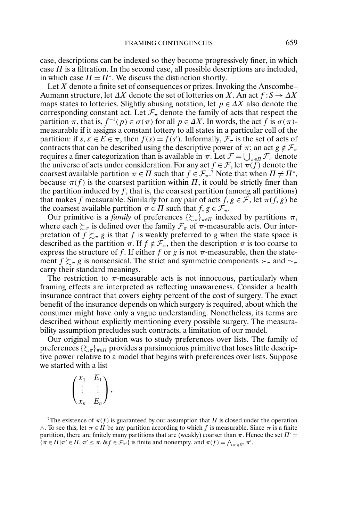<span id="page-5-0"></span>case, descriptions can be indexed so they become progressively finer, in which case  $\Pi$  is a filtration. In the second case, all possible descriptions are included, in which case  $\Pi = \Pi^*$ . We discuss the distinction shortly.

Let  $X$  denote a finite set of consequences or prizes. Invoking the Anscombe-Aumann structure, let  $\Delta X$  denote the set of lotteries on X. An act  $f : S \to \Delta X$ maps states to lotteries. Slightly abusing notation, let  $p \in \Delta X$  also denote the corresponding constant act. Let  $\mathcal{F}_{\pi}$  denote the family of acts that respect the partition  $\pi$ , that is,  $f^{-1}(p) \in \sigma(\pi)$  for all  $p \in \Delta X$ . In words, the act f is  $\sigma(\pi)$ measurable if it assigns a constant lottery to all states in a particular cell of the partition: if  $s, s' \in E \in \pi$ , then  $f(s) = f(s')$ . Informally,  $\mathcal{F}_{\pi}$  is the set of acts of contracts that can be described using the descriptive power of  $\pi$ ; an act  $g \notin \mathcal{F}_{\pi}$ requires a finer categorization than is available in  $\pi$ . Let  $\mathcal{F} = \bigcup_{\pi \in \Pi} \mathcal{F}_{\pi}$  denote the universe of acts under consideration. For any act  $f \in \mathcal{F}$ , let  $\pi(f)$  denote the coarsest available partition  $\pi \in \Pi$  such that  $f \in \mathcal{F}_{\pi}$ .<sup>7</sup> Note that when  $\Pi \neq \Pi^*$ , because  $\pi(f)$  is the coarsest partition within  $\Pi$ , it could be strictly finer than the partition induced by  $f$ , that is, the coarsest partition (among all partitions) that makes f measurable. Similarly for any pair of acts  $f, g \in \mathcal{F}$ , let  $\pi(f, g)$  be the coarsest available partition  $\pi \in \Pi$  such that  $f, g \in \mathcal{F}_{\pi}$ .

Our primitive is a *family* of preferences  $\{\sum_{\pi}\}_{\pi \in \Pi}$  indexed by partitions  $\pi$ , where each  $\succsim_{\pi}$  is defined over the family  $\mathcal{F}_{\pi}$  of  $\pi$ -measurable acts. Our interpretation of  $f \succsim_{\pi} g$  is that f is weakly preferred to g when the state space is described as the partition  $\pi$ . If  $f \notin \mathcal{F}_{\pi}$ , then the description  $\pi$  is too coarse to express the structure of f. If either f or g is not  $\pi$ -measurable, then the statement  $f \succsim_{\pi} g$  is nonsensical. The strict and symmetric components  $\succ_{\pi}$  and  $\sim_{\pi}$ carry their standard meanings.

The restriction to  $\pi$ -measurable acts is not innocuous, particularly when framing effects are interpreted as reflecting unawareness. Consider a health insurance contract that covers eighty percent of the cost of surgery. The exact benefit of the insurance depends on which surgery is required, about which the consumer might have only a vague understanding. Nonetheless, its terms are described without explicitly mentioning every possible surgery. The measurability assumption precludes such contracts, a limitation of our model.

Our original motivation was to study preferences over lists. The family of preferences  $\{\succsim_\pi\}_{\pi\in\Pi}$  provides a parsimonious primitive that loses little descriptive power relative to a model that begins with preferences over lists. Suppose we started with a list

$$
\begin{pmatrix} x_1 & E_1 \\ \vdots & \vdots \\ x_n & E_n \end{pmatrix},
$$

<sup>7</sup>The existence of  $\pi(f)$  is guaranteed by our assumption that  $\Pi$  is closed under the operation  $\wedge$ . To see this, let  $\pi \in \Pi$  be any partition according to which f is measurable. Since  $\pi$  is a finite partition, there are finitely many partitions that are (weakly) coarser than  $\pi$ . Hence the set  $\Pi'$  =  $\{\pi \in \Pi | \pi' \in \Pi, \pi' \leq \pi, \& f \in \mathcal{F}_{\pi'}\}\$ is finite and nonempty, and  $\pi(f) = \bigwedge_{\pi' \in \Pi'} \pi'.$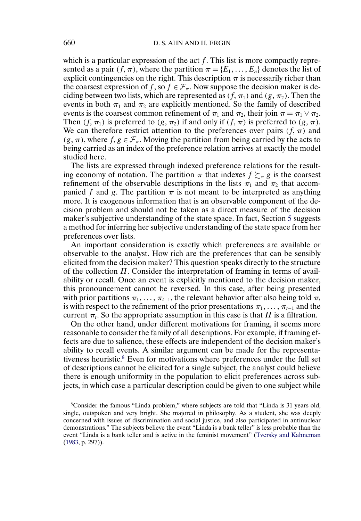<span id="page-6-0"></span>which is a particular expression of the act  $f$ . This list is more compactly represented as a pair  $(f, \pi)$ , where the partition  $\pi = \{E_1, \ldots, E_n\}$  denotes the list of explicit contingencies on the right. This description  $\pi$  is necessarily richer than the coarsest expression of f, so  $f \in \mathcal{F}_{\pi}$ . Now suppose the decision maker is deciding between two lists, which are represented as  $(f, \pi_1)$  and  $(g, \pi_2)$ . Then the events in both  $\pi_1$  and  $\pi_2$  are explicitly mentioned. So the family of described events is the coarsest common refinement of  $\pi_1$  and  $\pi_2$ , their join  $\pi = \pi_1 \vee \pi_2$ . Then  $(f, \pi_1)$  is preferred to  $(g, \pi_2)$  if and only if  $(f, \pi)$  is preferred to  $(g, \pi)$ . We can therefore restrict attention to the preferences over pairs  $(f, \pi)$  and  $(g, \pi)$ , where  $f, g \in \mathcal{F}_{\pi}$ . Moving the partition from being carried by the acts to being carried as an index of the preference relation arrives at exactly the model studied here.

The lists are expressed through indexed preference relations for the resulting economy of notation. The partition  $\pi$  that indexes  $f \succsim_{\pi} g$  is the coarsest refinement of the observable descriptions in the lists  $\pi_1$  and  $\pi_2$  that accompanied f and g. The partition  $\pi$  is not meant to be interpreted as anything more. It is exogenous information that is an observable component of the decision problem and should not be taken as a direct measure of the decision maker's subjective understanding of the state space. In fact, Section [5](#page-18-0) suggests a method for inferring her subjective understanding of the state space from her preferences over lists.

An important consideration is exactly which preferences are available or observable to the analyst. How rich are the preferences that can be sensibly elicited from the decision maker? This question speaks directly to the structure of the collection  $\Pi$ . Consider the interpretation of framing in terms of availability or recall. Once an event is explicitly mentioned to the decision maker, this pronouncement cannot be reversed. In this case, after being presented with prior partitions  $\pi_1, \ldots, \pi_{t-1}$ , the relevant behavior after also being told  $\pi_t$ is with respect to the refinement of the prior presentations  $\pi_1, \ldots, \pi_{t-1}$  and the current  $\pi_t$ . So the appropriate assumption in this case is that  $\Pi$  is a filtration.

On the other hand, under different motivations for framing, it seems more reasonable to consider the family of all descriptions. For example, if framing effects are due to salience, these effects are independent of the decision maker's ability to recall events. A similar argument can be made for the representativeness heuristic.8 Even for motivations where preferences under the full set of descriptions cannot be elicited for a single subject, the analyst could believe there is enough uniformity in the population to elicit preferences across subjects, in which case a particular description could be given to one subject while

<sup>8</sup>Consider the famous "Linda problem," where subjects are told that "Linda is 31 years old, single, outspoken and very bright. She majored in philosophy. As a student, she was deeply concerned with issues of discrimination and social justice, and also participated in antinuclear demonstrations." The subjects believe the event "Linda is a bank teller" is less probable than the event "Linda is a bank teller and is active in the feminist movement" [\(Tversky and Kahneman](#page-40-0) [\(1983,](#page-40-0) p. 297)).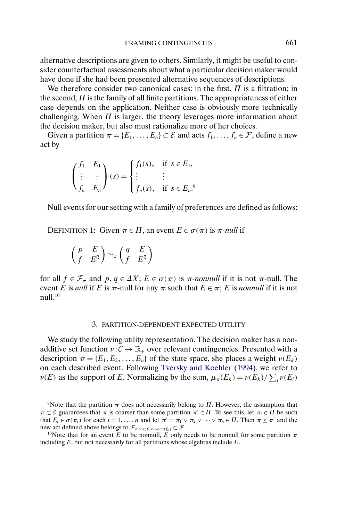<span id="page-7-0"></span>alternative descriptions are given to others. Similarly, it might be useful to consider counterfactual assessments about what a particular decision maker would have done if she had been presented alternative sequences of descriptions.

We therefore consider two canonical cases: in the first,  $\Pi$  is a filtration; in the second,  $\Pi$  is the family of all finite partitions. The appropriateness of either case depends on the application. Neither case is obviously more technically challenging. When  $\Pi$  is larger, the theory leverages more information about the decision maker, but also must rationalize more of her choices.

Given a partition  $\pi = \{E_1, \ldots, E_n\} \subset \mathcal{E}$  and acts  $f_1, \ldots, f_n \in \mathcal{F}$ , define a new act by

$$
\begin{pmatrix} f_1 & E_1 \\ \vdots & \vdots \\ f_n & E_n \end{pmatrix} (s) = \begin{cases} f_1(s), & \text{if } s \in E_1, \\ \vdots & \vdots \\ f_n(s), & \text{if } s \in E_n. \end{cases}
$$

Null events for our setting with a family of preferences are defined as follows:

DEFINITION 1: Given  $\pi \in \Pi$ , an event  $E \in \sigma(\pi)$  is  $\pi$ -null if

$$
\begin{pmatrix} p & E \\ f & E^{\complement} \end{pmatrix} \sim_{\pi} \begin{pmatrix} q & E \\ f & E^{\complement} \end{pmatrix}
$$

for all  $f \in \mathcal{F}_{\pi}$  and  $p, q \in \Delta X$ ;  $E \in \sigma(\pi)$  is  $\pi$ -nonnull if it is not  $\pi$ -null. The event E is *null* if E is  $\pi$ -null for any  $\pi$  such that  $E \in \pi$ ; E is *nonnull* if it is not  $null<sup>10</sup>$ 

#### 3. PARTITION-DEPENDENT EXPECTED UTILITY

We study the following utility representation. The decision maker has a nonadditive set function  $v : \mathcal{C} \to \mathbb{R}_+$  over relevant contingencies. Presented with a description  $\pi = \{E_1, E_2, \ldots, E_n\}$  of the state space, she places a weight  $\nu(E_k)$ on each described event. Following [Tversky and Koehler](#page-41-0) [\(1994\)](#page-41-0), we refer to  $\nu(E)$  as the support of E. Normalizing by the sum,  $\mu_{\pi}(E_k) = \nu(E_k) / \sum_i \nu(E_i)$ 

including  $E$ , but not necessarily for all partitions whose algebras include  $E$ .

<sup>&</sup>lt;sup>9</sup>Note that the partition  $\pi$  does not necessarily belong to  $\Pi$ . However, the assumption that  $\pi \subset \mathcal{E}$  guarantees that  $\pi$  is coarser than some partition  $\pi' \in \Pi$ . To see this, let  $\pi_i \in \Pi$  be such that  $E_i \in \sigma(\pi_i)$  for each  $i = 1, ..., n$  and let  $\pi' = \pi_1 \vee \pi_2 \vee \cdots \vee \pi_n \in \Pi$ . Then  $\pi \leq \pi'$  and the new act defined above belongs to  $\mathcal{F}_{\pi' \vee \pi(f_1) \vee \dots \vee \pi(f_n)} \subset \mathcal{F}$ .<br><sup>10</sup>Note that for an event E to be nonnull, E only needs to be nonnull for some partition  $\pi$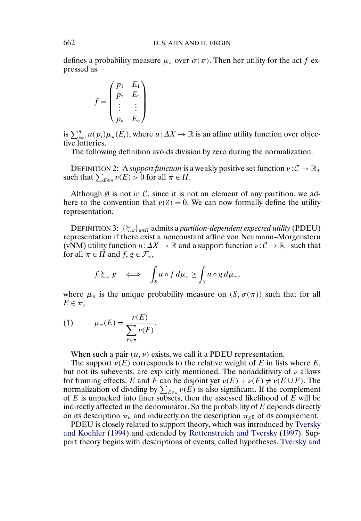defines a probability measure  $\mu_{\pi}$  over  $\sigma(\pi)$ . Then her utility for the act f expressed as

$$
f = \begin{pmatrix} p_1 & E_1 \\ p_2 & E_2 \\ \vdots & \vdots \\ p_n & E_n \end{pmatrix}
$$

is  $\sum_{i=1}^n u(p_i) \mu_\pi(E_i)$ , where  $u: \Delta X \to \mathbb{R}$  is an affine utility function over objective lotteries.

The following definition avoids division by zero during the normalization.

DEFINITION 2: A *support function* is a weakly positive set function  $\nu : \mathcal{C} \to \mathbb{R}_+$ such that  $\sum_{E \in \pi} \nu(E) > 0$  for all  $\pi \in \Pi$ .

Although  $\emptyset$  is not in C, since it is not an element of any partition, we adhere to the convention that  $v(\emptyset) = 0$ . We can now formally define the utility representation.

DEFINITION 3:  $\{\gtrsim_{\pi}\}_{{\pi}\in \Pi}$  admits a *partition-dependent expected utility* (PDEU) representation if there exist a nonconstant affine von Neumann–Morgenstern (vNM) utility function  $u: \Delta X \to \mathbb{R}$  and a support function  $v: \mathcal{C} \to \mathbb{R}_+$  such that for all  $\pi \in \Pi$  and  $f, g \in \mathcal{F}_{\pi}$ ,

$$
f \gtrsim_{\pi} g \iff \int_{S} u \circ f d\mu_{\pi} \ge \int_{S} u \circ g d\mu_{\pi},
$$

where  $\mu_{\pi}$  is the unique probability measure on  $(S, \sigma(\pi))$  such that for all  $E \in \pi$ ,

$$
(1) \qquad \mu_{\pi}(E) = \frac{\nu(E)}{\sum_{F \in \pi} \nu(F)}.
$$

When such a pair  $(u, v)$  exists, we call it a PDEU representation.

The support  $\nu(E)$  corresponds to the relative weight of E in lists where E, but not its subevents, are explicitly mentioned. The nonadditivity of  $\nu$  allows for framing effects: E and F can be disjoint yet  $\nu(E) + \nu(F) \neq \nu(E \cup F)$ . The normalization of dividing by  $\sum_{E \in \pi} \nu(E)$  is also significant. If the complement of  $E$  is unpacked into finer subsets, then the assessed likelihood of  $E$  will be indirectly affected in the denominator. So the probability of E depends directly on its description  $\pi_E$  and indirectly on the description  $\pi_E$  of its complement.

PDEU is closely related to support theory, which was introduced by [Tversky](#page-41-0) [and Koehler](#page-41-0) [\(1994\)](#page-41-0) and extended by [Rottenstreich and Tversky](#page-40-0) [\(1997\)](#page-40-0). Support theory begins with descriptions of events, called hypotheses. [Tversky and](#page-41-0)

<span id="page-8-0"></span>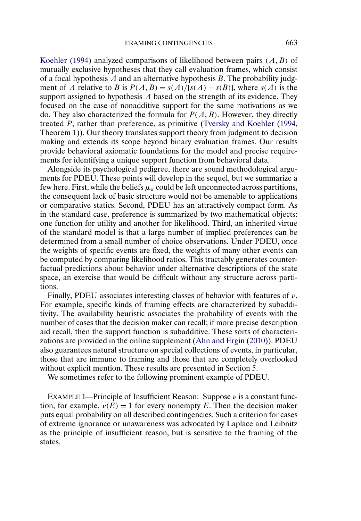[Koehler](#page-41-0) [\(1994\)](#page-41-0) analyzed comparisons of likelihood between pairs  $(A, B)$  of mutually exclusive hypotheses that they call evaluation frames, which consist of a focal hypothesis  $A$  and an alternative hypothesis  $B$ . The probability judgment of A relative to B is  $P(A, B) = s(A)/[s(A) + s(B)]$ , where  $s(A)$  is the support assigned to hypothesis A based on the strength of its evidence. They focused on the case of nonadditive support for the same motivations as we do. They also characterized the formula for  $P(A, B)$ . However, they directly treated P, rather than preference, as primitive [\(Tversky and Koehler](#page-41-0) [\(1994,](#page-41-0) Theorem 1)). Our theory translates support theory from judgment to decision making and extends its scope beyond binary evaluation frames. Our results provide behavioral axiomatic foundations for the model and precise requirements for identifying a unique support function from behavioral data.

Alongside its psychological pedigree, there are sound methodological arguments for PDEU. These points will develop in the sequel, but we summarize a few here. First, while the beliefs  $\mu_{\pi}$  could be left unconnected across partitions, the consequent lack of basic structure would not be amenable to applications or comparative statics. Second, PDEU has an attractively compact form. As in the standard case, preference is summarized by two mathematical objects: one function for utility and another for likelihood. Third, an inherited virtue of the standard model is that a large number of implied preferences can be determined from a small number of choice observations. Under PDEU, once the weights of specific events are fixed, the weights of many other events can be computed by comparing likelihood ratios. This tractably generates counterfactual predictions about behavior under alternative descriptions of the state space, an exercise that would be difficult without any structure across partitions.

Finally, PDEU associates interesting classes of behavior with features of  $\nu$ . For example, specific kinds of framing effects are characterized by subadditivity. The availability heuristic associates the probability of events with the number of cases that the decision maker can recall; if more precise description aid recall, then the support function is subadditive. These sorts of characterizations are provided in the online supplement [\(Ahn and Ergin](#page-40-0) [\(2010\)](#page-40-0)). PDEU also guarantees natural structure on special collections of events, in particular, those that are immune to framing and those that are completely overlooked without explicit mention. These results are presented in Section [5.](#page-18-0)

We sometimes refer to the following prominent example of PDEU.

EXAMPLE 1—Principle of Insufficient Reason: Suppose  $\nu$  is a constant function, for example,  $\nu(E) = 1$  for every nonempty E. Then the decision maker puts equal probability on all described contingencies. Such a criterion for cases of extreme ignorance or unawareness was advocated by Laplace and Leibnitz as the principle of insufficient reason, but is sensitive to the framing of the states.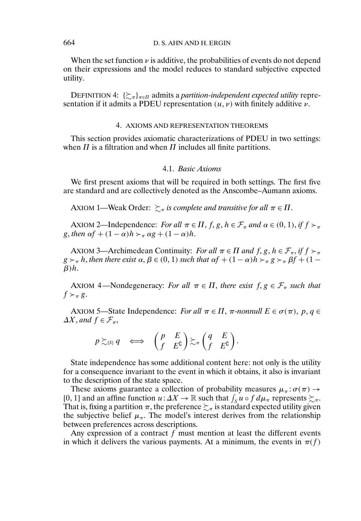When the set function  $\nu$  is additive, the probabilities of events do not depend on their expressions and the model reduces to standard subjective expected utility.

DEFINITION 4:  $\{\gtrsim_{\pi}\}_{{\pi}\in \Pi}$  admits a *partition-independent expected utility* representation if it admits a PDEU representation  $(u, v)$  with finitely additive  $v$ .

# 4. AXIOMS AND REPRESENTATION THEOREMS

This section provides axiomatic characterizations of PDEU in two settings: when  $\Pi$  is a filtration and when  $\Pi$  includes all finite partitions.

## 4.1. *Basic Axioms*

We first present axioms that will be required in both settings. The first five are standard and are collectively denoted as the Anscombe–Aumann axioms.

AXIOM 1—Weak Order:  $\sum_{\pi}$  is complete and transitive for all  $\pi \in \Pi$ .

AXIOM 2—Independence: *For all*  $\pi \in \Pi$ ,  $f, g, h \in \mathcal{F}_{\pi}$  *and*  $\alpha \in (0, 1)$ , *if*  $f \succ_{\pi}$ g, then  $\alpha f + (1 - \alpha)h >_{\pi} \alpha g + (1 - \alpha)h$ .

AXIOM 3—Archimedean Continuity: *For all*  $\pi \in \Pi$  *and*  $f, g, h \in \mathcal{F}_{\pi}$ , *if*  $f \succ_{\pi}$  $g \succ_\pi h$ , then there exist  $\alpha, \beta \in (0, 1)$  such that  $\alpha f + (1 - \alpha)h \succ_\pi g \succ_\pi \beta f + (1 \beta$ ) $h$ .

AXIOM 4—Nondegeneracy: *For all*  $\pi \in \Pi$ , *there exist*  $f, g \in \mathcal{F}_{\pi}$  *such that*  $f \succ_{\pi} g$ .

AXIOM 5—State Independence: *For all*  $\pi \in \Pi$ ,  $\pi$ -nonnull  $E \in \sigma(\pi)$ ,  $p, q \in$  $\Delta X$ , and  $f \in \mathcal{F}_{\pi}$ ,

$$
p \succsim_{(S)} q \iff \begin{pmatrix} p & E \\ f & E^{\complement} \end{pmatrix} \succsim_{\pi} \begin{pmatrix} q & E \\ f & E^{\complement} \end{pmatrix}.
$$

State independence has some additional content here: not only is the utility for a consequence invariant to the event in which it obtains, it also is invariant to the description of the state space.

These axioms guarantee a collection of probability measures  $\mu_{\pi} : \sigma(\pi) \rightarrow$ [0, 1] and an affine function  $u: \Delta X \to \mathbb{R}$  such that  $\int_S u \circ f d\mu_\pi$  represents  $\succsim_\pi$ . That is, fixing a partition  $\pi,$  the preference  $\succsim_\pi$  is standard expected utility given the subjective belief  $\mu_{\pi}$ . The model's interest derives from the relationship between preferences across descriptions.

Any expression of a contract  $f$  must mention at least the different events in which it delivers the various payments. At a minimum, the events in  $\pi(f)$ 

<span id="page-10-0"></span>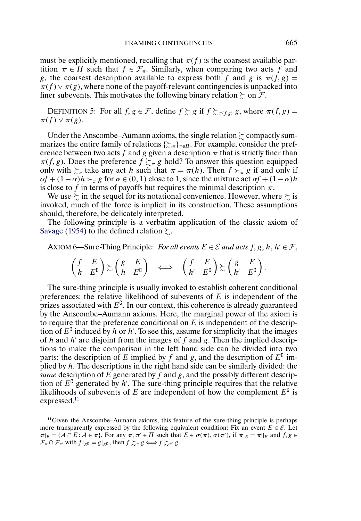must be explicitly mentioned, recalling that  $\pi(f)$  is the coarsest available partition  $\pi \in \Pi$  such that  $f \in \mathcal{F}_{\pi}$ . Similarly, when comparing two acts f and g, the coarsest description available to express both f and g is  $\pi(f, g) =$  $\pi(f) \vee \pi(g)$ , where none of the payoff-relevant contingencies is unpacked into finer subevents. This motivates the following binary relation  $\succsim$  on  $\mathcal{F}.$ 

DEFINITION 5: For all  $f, g \in \mathcal{F}$ , define  $f \succsim g$  if  $f \succsim_{\pi(f,g)} g$ , where  $\pi(f, g) =$  $\pi(f) \vee \pi(g)$ .

Under the Anscombe–Aumann axioms, the single relation  $\succsim$  compactly summarizes the entire family of relations  $\{\gtrsim_{\pi}\}_{\pi \in \Pi}$ . For example, consider the preference between two acts f and g given a description  $\pi$  that is strictly finer than  $\pi(f, g)$ . Does the preference  $f \succsim_{\pi} g$  hold? To answer this question equipped only with  $\gtrsim$ , take any act h such that  $\pi = \pi(h)$ . Then  $f \succ_{\pi} g$  if and only if  $\alpha f + (1 - \alpha)h$   $\succ_{\pi} g$  for  $\alpha \in (0, 1)$  close to 1, since the mixture act  $\alpha f + (1 - \alpha)h$ is close to f in terms of payoffs but requires the minimal description  $\pi$ .

We use  $\succsim$  in the sequel for its notational convenience. However, where  $\succsim$  is invoked, much of the force is implicit in its construction. These assumptions should, therefore, be delicately interpreted.

The following principle is a verbatim application of the classic axiom of [Savage](#page-40-0) [\(1954\)](#page-40-0) to the defined relation  $\succsim$ .

AXIOM 6—Sure-Thing Principle: *For all events*  $E \in \mathcal{E}$  and acts  $f, g, h, h' \in \mathcal{F}$ ,

$$
\begin{pmatrix} f & E \\ h & E^{\complement} \end{pmatrix} \gtrsim \begin{pmatrix} g & E \\ h & E^{\complement} \end{pmatrix} \iff \begin{pmatrix} f & E \\ h' & E^{\complement} \end{pmatrix} \gtrsim \begin{pmatrix} g & E \\ h' & E^{\complement} \end{pmatrix}.
$$

The sure-thing principle is usually invoked to establish coherent conditional preferences: the relative likelihood of subevents of  $E$  is independent of the prizes associated with  $E^{\mathsf{U}}$ . In our context, this coherence is already guaranteed by the Anscombe–Aumann axioms. Here, the marginal power of the axiom is to require that the preference conditional on  $E$  is independent of the description of  $E^0$  induced by h or h'. To see this, assume for simplicity that the images of h and h' are disjoint from the images of f and g. Then the implied descriptions to make the comparison in the left hand side can be divided into two parts: the description of E implied by f and g, and the description of  $E^{\text{U}}$  implied by  $h$ . The descriptions in the right hand side can be similarly divided: the *same* description of  $E$  generated by  $\hat{f}$  and  $g$ , and the possibly different description of  $E^{\complement}$  generated by h'. The sure-thing principle requires that the relative likelihoods of subevents of E are independent of how the complement  $E^{\mathfrak{c}}$  is expressed.<sup>11</sup>

 $11$  Given the Anscombe–Aumann axioms, this feature of the sure-thing principle is perhaps more transparently expressed by the following equivalent condition: Fix an event  $E \in \mathcal{E}$ . Let  $\pi|_E = \{A \cap E : A \in \pi\}$ . For any  $\pi, \pi' \in \Pi$  such that  $E \in \sigma(\pi), \sigma(\pi'),$  if  $\pi|_E = \pi'|_E$  and  $f, g \in \Pi$  $\mathcal{F}_{\pi} \cap \mathcal{F}_{\pi'}$  with  $f|_{E} = g|_{E}$ c, then  $f \succsim_{\pi} g \Longleftrightarrow f \succsim_{\pi'} g$ .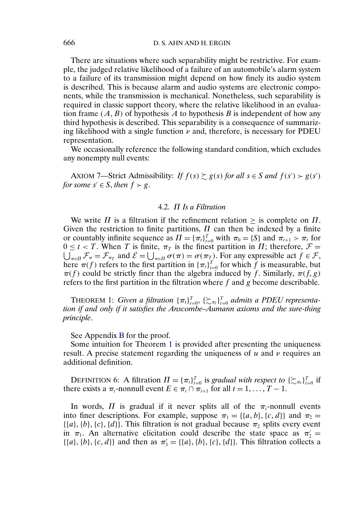There are situations where such separability might be restrictive. For example, the judged relative likelihood of a failure of an automobile's alarm system to a failure of its transmission might depend on how finely its audio system is described. This is because alarm and audio systems are electronic components, while the transmission is mechanical. Nonetheless, such separability is required in classic support theory, where the relative likelihood in an evaluation frame  $(A, B)$  of hypothesis A to hypothesis B is independent of how any third hypothesis is described. This separability is a consequence of summarizing likelihood with a single function  $\nu$  and, therefore, is necessary for PDEU representation.

We occasionally reference the following standard condition, which excludes any nonempty null events:

AXIOM 7—Strict Admissibility: *If*  $f(s) \succsim g(s)$  *for all*  $s \in S$  *and*  $f(s') > g(s')$ *for some*  $s' \in S$ *, then*  $f > g$ *.* 

#### 4.2. Π *Is a Filtration*

We write  $\Pi$  is a filtration if the refinement relation  $\geq$  is complete on  $\Pi$ . Given the restriction to finite partitions,  $\Pi$  can then be indexed by a finite or countably infinite sequence as  $\Pi = {\lbrace \pi_t \rbrace}_{t=0}^T$  with  $\pi_0 = {\lbrace S \rbrace}$  and  $\pi_{t+1} > \pi_t$  for  $0 \le t < T$ . When T is finite,  $\pi_T$  is the finest partition in  $\Pi$ ; therefore,  $\mathcal{F} =$  $\bigcup_{\pi \in \Pi} \mathcal{F}_{\pi} = \mathcal{F}_{\pi_T}$  and  $\mathcal{E} = \bigcup_{\pi \in \Pi} \sigma(\pi) = \sigma(\pi_T)$ . For any expressible act  $f \in \mathcal{F}$ , here  $\pi(f)$  refers to the first partition in  ${\lbrace \pi_t \rbrace}_{t=0}^T$  for which f is measurable, but  $\pi(f)$  could be strictly finer than the algebra induced by f. Similarly,  $\pi(f, g)$ refers to the first partition in the filtration where  $f$  and  $g$  become describable.

**THEOREM 1:** *Given a filtration*  ${\lbrace \pi_t \rbrace}_{t=0}^T$ ,  ${\lbrace \sum_{\pi_t} \rbrace}_{t=0}^T$  *admits a PDEU representation if and only if it satisfies the Anscombe–Aumann axioms and the sure-thing principle*.

#### See Appendix [B](#page-26-0) for the proof.

Some intuition for Theorem 1 is provided after presenting the uniqueness result. A precise statement regarding the uniqueness of  $u$  and  $\nu$  requires an additional definition.

DEFINITION 6: A filtration  $\Pi = {\pi_t}_{t=0}^T$  is *gradual with respect to*  $\{\sum_{\pi_t}\}_{t=0}^T$  if there exists a  $\pi_t$ -nonnull event  $E \in \pi_t \cap \pi_{t+1}$  for all  $t = 1, \ldots, T-1$ .

In words,  $\Pi$  is gradual if it never splits all of the  $\pi_t$ -nonnull events into finer descriptions. For example, suppose  $\pi_1 = \{\{a, b\}, \{c, d\}\}\$ and  $\pi_2 =$  $\{\{a\}, \{b\}, \{c\}, \{d\}\}\$ . This filtration is not gradual because  $\pi_2$  splits every event in  $\pi_1$ . An alternative elicitation could describe the state space as  $\pi_2' =$  $\{\{a\}, \{b\}, \{c, d\}\}\$  and then as  $\pi'_{3} = \{\{a\}, \{b\}, \{c\}, \{d\}\}\$ . This filtration collects a

<span id="page-12-0"></span>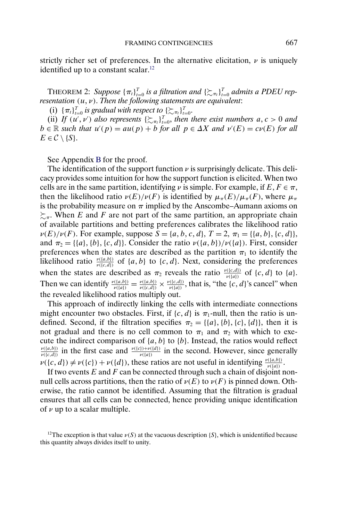<span id="page-13-0"></span>strictly richer set of preferences. In the alternative elicitation,  $\nu$  is uniquely identified up to a constant scalar.<sup>12</sup>

THEOREM 2: Suppose  ${\{\pi_t\}}_{t=0}^T$  is a filtration and  $\{\succsim \pi_t\}_{t=0}^T$  admits a PDEU rep*resentation*  $(u, v)$ *. Then the following statements are equivalent:* 

(i)  $\{\pi_t\}_{t=0}^T$  is gradual with respect to  $\{\sum_{\pi_t}\}_{t=0}^T$ .

(ii) If  $(u', v')$  also represents  $\{\sum_{\pi_i}\}_{i=0}^T$ , then there exist numbers  $a, c > 0$  and  $b \in \mathbb{R}$  *such that*  $u'(p) = au(p) + b$  *for all*  $p \in \Delta X$  *and*  $v'(E) = cv(E)$  *for all*  $E \in \mathcal{C} \setminus \{S\}.$ 

See Appendix [B](#page-26-0) for the proof.

The identification of the support function  $\nu$  is surprisingly delicate. This delicacy provides some intuition for how the support function is elicited. When two cells are in the same partition, identifying  $\nu$  is simple. For example, if  $E, F \in \pi$ , then the likelihood ratio  $\nu(E)/\nu(F)$  is identified by  $\mu_{\pi}(E)/\mu_{\pi}(F)$ , where  $\mu_{\pi}$ is the probability measure on  $\pi$  implied by the Anscombe–Aumann axioms on  $\succsim_{\pi}$ . When E and F are not part of the same partition, an appropriate chain of available partitions and betting preferences calibrates the likelihood ratio  $\nu(E)/\nu(F)$ . For example, suppose  $S = \{a, b, c, d\}, T = 2, \pi_1 = \{\{a, b\}, \{c, d\}\},\$ and  $\pi_2 = \{\{a\}, \{b\}, \{c, d\}\}\$ . Consider the ratio  $\nu(\{a, b\})/\nu(\{a\})$ . First, consider preferences when the states are described as the partition  $\pi_1$  to identify the likelihood ratio  $\frac{\nu({a,b})}{\nu({c,d})}$  of  ${a,b}$  to  ${c,d}$ . Next, considering the preferences when the states are described as  $\pi_2$  reveals the ratio  $\frac{\nu((c,d))}{\nu((a))}$  of  $\{c,d\}$  to  $\{a\}$ . Then we can identify  $\frac{\nu({a,b})}{\nu({a})} = \frac{\nu({a,b})}{\nu({c,d})} \times \frac{\nu({c,d})}{\nu({a})}$ , that is, "the {c, d}'s cancel" when the revealed likelihood ratios multiply out.

This approach of indirectly linking the cells with intermediate connections might encounter two obstacles. First, if  $\{c, d\}$  is  $\pi_1$ -null, then the ratio is undefined. Second, if the filtration specifies  $\pi_2 = \{ \{a\}, \{b\}, \{c\}, \{d\} \}$ , then it is not gradual and there is no cell common to  $\pi_1$  and  $\pi_2$  with which to execute the indirect comparison of  $\{a, b\}$  to  $\{b\}$ . Instead, the ratios would reflect  $\frac{\nu({a},b)}{\nu({c},d)}$  in the first case and  $\frac{\nu({c})+\nu({d})}{\nu({a})}$  in the second. However, since generally  $\nu({c, d}) \neq \nu({c}) + \nu({d})$ , these ratios are not useful in identifying  $\frac{\nu({a, b})}{\nu({a})}$ .

If two events  $E$  and  $F$  can be connected through such a chain of disjoint nonnull cells across partitions, then the ratio of  $\nu(E)$  to  $\nu(F)$  is pinned down. Otherwise, the ratio cannot be identified. Assuming that the filtration is gradual ensures that all cells can be connected, hence providing unique identification of  $\nu$  up to a scalar multiple.

<sup>12</sup>The exception is that value  $\nu(S)$  at the vacuous description {S}, which is unidentified because this quantity always divides itself to unity.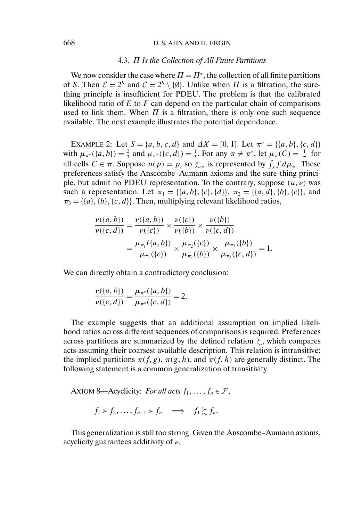# <span id="page-14-0"></span>668 D. S. AHN AND H. ERGIN

#### 4.3. Π *Is the Collection of All Finite Partitions*

We now consider the case where  $\Pi = \Pi^*$ , the collection of all finite partitions of S. Then  $\mathcal{E} = 2^s$  and  $\mathcal{C} = 2^s \setminus \{\emptyset\}$ . Unlike when  $\Pi$  is a filtration, the surething principle is insufficient for PDEU. The problem is that the calibrated likelihood ratio of  $E$  to  $F$  can depend on the particular chain of comparisons used to link them. When  $\Pi$  is a filtration, there is only one such sequence available. The next example illustrates the potential dependence.

EXAMPLE 2: Let  $S = \{a, b, c, d\}$  and  $\Delta X = [0, 1]$ . Let  $\pi^* = \{\{a, b\}, \{c, d\}\}\$ with  $\mu_{\pi^*}(\{a, b\}) = \frac{2}{3}$  and  $\mu_{\pi^*}(\{c, d\}) = \frac{1}{3}$ . For any  $\pi \neq \pi^*$ , let  $\mu_{\pi}(C) = \frac{1}{|\pi|}$  for all cells  $C \in \pi$ . Suppose  $u(p) = p$ , so  $\succsim_{\pi}$  is represented by  $\int_{S} f d\mu_{\pi}$ . These preferences satisfy the Anscombe–Aumann axioms and the sure-thing principle, but admit no PDEU representation. To the contrary, suppose  $(u, v)$  was such a representation. Let  $\pi_1 = \{ \{a, b\}, \{c\}, \{d\} \}, \pi_2 = \{ \{a, d\}, \{b\}, \{c\} \}$ , and  $\pi_3 = \{\{a\}, \{b\}, \{c, d\}\}\$ . Then, multiplying relevant likelihood ratios,

$$
\frac{\nu({a,b})}{\nu({c,d})} = \frac{\nu({a,b})}{\nu({c})} \times \frac{\nu({c})}{\nu({b})} \times \frac{\nu({b})}{\nu({c,d})} \n= \frac{\mu_{\pi_1}({a,b})}{\mu_{\pi_1}({c})} \times \frac{\mu_{\pi_2}({c})}{\mu_{\pi_2}({b})} \times \frac{\mu_{\pi_3}({b})}{\mu_{\pi_3}({c,d})} = 1.
$$

We can directly obtain a contradictory conclusion:

$$
\frac{\nu({a,b})}{\nu({c,d})} = \frac{\mu_{\pi^*}({a,b})}{\mu_{\pi^*}({c,d})} = 2.
$$

The example suggests that an additional assumption on implied likelihood ratios across different sequences of comparisons is required. Preferences across partitions are summarized by the defined relation  $\succsim$ , which compares acts assuming their coarsest available description. This relation is intransitive: the implied partitions  $\pi(f, g)$ ,  $\pi(g, h)$ , and  $\pi(f, h)$  are generally distinct. The following statement is a common generalization of transitivity.

AXIOM 8—Acyclicity: *For all acts*  $f_1, \ldots, f_n \in \mathcal{F}$ ,

 $f_1 > f_2, \ldots, f_{n-1} > f_n \implies f_1 \succsim f_n.$ 

This generalization is still too strong. Given the Anscombe–Aumann axioms, acyclicity guarantees additivity of  $\nu$ .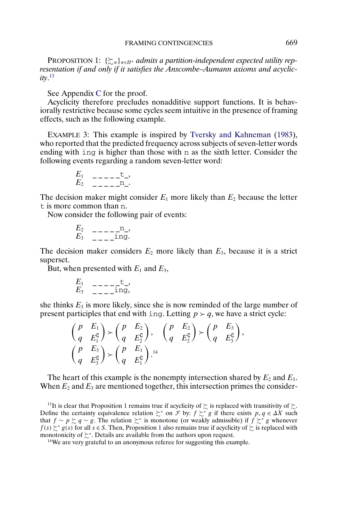<span id="page-15-0"></span>PROPOSITION 1:  $\{\succsim_{\pi}\}_{{\pi \in \Pi^*}}$  admits a partition-independent expected utility rep*resentation if and only if it satisfies the Anscombe–Aumann axioms and acyclicity*. 13

See Appendix [C](#page-28-0) for the proof.

Acyclicity therefore precludes nonadditive support functions. It is behaviorally restrictive because some cycles seem intuitive in the presence of framing effects, such as the following example.

EXAMPLE 3: This example is inspired by [Tversky and Kahneman](#page-40-0) [\(1983\)](#page-40-0), who reported that the predicted frequency across subjects of seven-letter words ending with ing is higher than those with n as the sixth letter. Consider the following events regarding a random seven-letter word:

$$
\begin{array}{cc}\nE_1 & - \, \text{-} \, \text{-} \, \text{-} \, \text{-} \, \text{-} \, \text{-} \, \text{-} \, \text{-} \, \text{-} \, \text{-} \, \text{-} \, \text{-} \, \text{-} \, \text{-} \, \text{-} \, \text{-} \, \text{-} \, \text{-} \, \text{-} \, \text{-} \, \text{-} \, \text{-} \, \text{-} \, \text{-} \end{array}
$$

The decision maker might consider  $E_1$  more likely than  $E_2$  because the letter t is more common than n.

Now consider the following pair of events:

$$
\begin{array}{cc}\nE_2 & ----&1, \\
E_3 & ---&1, \\
\end{array}
$$

The decision maker considers  $E_2$  more likely than  $E_3$ , because it is a strict superset.

But, when presented with  $E_1$  and  $E_3$ ,

$$
\begin{array}{cc}\nE_1 & - & - -\frac{t}{\ln 2}, \\
E_3 & - & -\frac{1}{\ln 2},\n\end{array}
$$

she thinks  $E_3$  is more likely, since she is now reminded of the large number of present participles that end with ing. Letting  $p > q$ , we have a strict cycle:

$$
\begin{pmatrix} p & E_1 \\ q & E_1^{\complement} \end{pmatrix} \succ \begin{pmatrix} p & E_2 \\ q & E_2^{\complement} \end{pmatrix}, \quad \begin{pmatrix} p & E_2 \\ q & E_2^{\complement} \end{pmatrix} \succ \begin{pmatrix} p & E_3 \\ q & E_3^{\complement} \end{pmatrix},
$$

$$
\begin{pmatrix} p & E_3 \\ q & E_3^{\complement} \end{pmatrix} \succ \begin{pmatrix} p & E_1 \\ q & E_1^{\complement} \end{pmatrix}.
$$

The heart of this example is the nonempty intersection shared by  $E_2$  and  $E_3$ . When  $E_2$  and  $E_3$  are mentioned together, this intersection primes the consider-

<sup>&</sup>lt;sup>13</sup>It is clear that Proposition 1 remains true if acyclicity of  $\succsim$  is replaced with transitivity of  $\succsim$ . Define the certainty equivalence relation  $\succsim^*$  on  $\mathcal F$  by:  $f \succsim^* g$  if there exists  $p, q \in \Delta X$  such that  $f \sim p \succsim q \sim g$ . The relation  $\succsim^*$  is monotone (or weakly admissible) if  $f \succsim^* g$  whenever  $f(s) \succsim^* g(s)$  for all  $s \in S$ . Then, Proposition 1 also remains true if acyclicity of  $\succsim$  is replaced with monotonicity of  $\succsim^*$ . Details are available from the authors upon request.

<sup>&</sup>lt;sup>14</sup>We are very grateful to an anonymous referee for suggesting this example.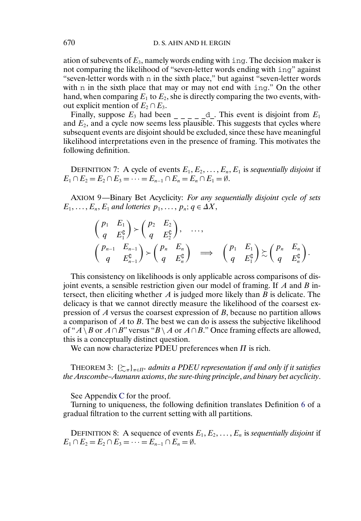<span id="page-16-0"></span>ation of subevents of  $E_3$ , namely words ending with ing. The decision maker is not comparing the likelihood of "seven-letter words ending with ing" against "seven-letter words with n in the sixth place," but against "seven-letter words with n in the sixth place that may or may not end with ing." On the other hand, when comparing  $E_1$  to  $E_2$ , she is directly comparing the two events, without explicit mention of  $E_2 \cap E_3$ .

Finally, suppose  $E_3$  had been  $\Big|_{z=-\infty}$   $\Big|_{z=-\infty}$ . This event is disjoint from  $E_1$ and  $E_2$ , and a cycle now seems less plausible. This suggests that cycles where subsequent events are disjoint should be excluded, since these have meaningful likelihood interpretations even in the presence of framing. This motivates the following definition.

DEFINITION 7: A cycle of events  $E_1, E_2, \ldots, E_n, E_1$  is *sequentially disjoint* if  $E_1 \cap E_2 = E_2 \cap E_3 = \cdots = E_{n-1} \cap E_n = E_n \cap E_1 = \emptyset.$ 

AXIOM 9—Binary Bet Acyclicity: *For any sequentially disjoint cycle of sets*  $E_1, \ldots, E_n, E_1$  and lotteries  $p_1, \ldots, p_n; q \in \Delta X$ ,

$$
\begin{aligned}\n\begin{pmatrix}\np_1 & E_1 \\
q & E_1^c\n\end{pmatrix} > \begin{pmatrix}\np_2 & E_2 \\
q & E_2^c\n\end{pmatrix}, \quad \dots, \\
\begin{pmatrix}\np_{n-1} & E_{n-1} \\
q & E_{n-1}^c\n\end{pmatrix} > \begin{pmatrix}\np_n & E_n \\
q & E_n^c\n\end{pmatrix} \implies \begin{pmatrix}\np_1 & E_1 \\
q & E_1^c\n\end{pmatrix} \succsim \begin{pmatrix}\np_n & E_n \\
q & E_n^c\n\end{pmatrix}.\n\end{aligned}
$$

This consistency on likelihoods is only applicable across comparisons of disjoint events, a sensible restriction given our model of framing. If  $A$  and  $B$  intersect, then eliciting whether  $A$  is judged more likely than  $B$  is delicate. The delicacy is that we cannot directly measure the likelihood of the coarsest expression of  $A$  versus the coarsest expression of  $B$ , because no partition allows a comparison of  $A$  to  $B$ . The best we can do is assess the subjective likelihood of " $A \setminus B$  or  $A \cap B$ " versus " $B \setminus A$  or  $A \cap B$ ." Once framing effects are allowed, this is a conceptually distinct question.

We can now characterize PDEU preferences when  $\Pi$  is rich.

THEOREM 3:  $\{\succsim_\pi\}_{\pi\in \Pi^*}$  admits a PDEU representation if and only if it satisfies *the Anscombe–Aumann axioms*, *the sure-thing principle*, *and binary bet acyclicity*.

See Appendix [C](#page-28-0) for the proof.

Turning to uniqueness, the following definition translates Definition [6](#page-12-0) of a gradual filtration to the current setting with all partitions.

DEFINITION 8: A sequence of events  $E_1, E_2, \ldots, E_n$  is *sequentially disjoint* if  $E_1 \cap E_2 = E_2 \cap E_3 = \cdots = E_{n-1} \cap E_n = \emptyset.$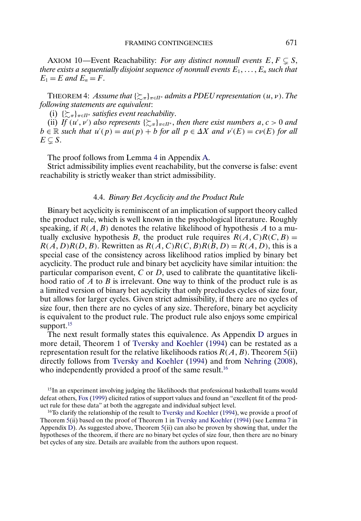<span id="page-17-0"></span>AXIOM 10—Event Reachability: *For any distinct nonnull events*  $E, F \subsetneq S$ , *there exists a sequentially disjoint sequence of nonnull events*  $E_1, \ldots, E_n$  *such that*  $E_1 = E$  and  $E_n = F$ .

THEOREM 4: Assume that  $\{\succsim_{\pi}\}_{\pi \in \Pi^*}$  admits a PDEU representation  $(u, v)$ . The *following statements are equivalent*:

(i)  $\{\sum_{\pi}\}_{{\pi}\in \Pi^*}$  satisfies event reachability.

(ii) If  $(u', v')$  also represents  $\{\sum_{\pi}\}_{\pi \in \Pi^*}$ , then there exist numbers  $a, c > 0$  and  $b \in \mathbb{R}$  *such that*  $u'(p) = au(p) + b$  *for all*  $p \in \Delta X$  *and*  $v'(E) = cv(E)$  *for all*  $E\subsetneq S.$ 

The proof follows from Lemma [4](#page-25-0) in Appendix [A.](#page-22-0)

Strict admissibility implies event reachability, but the converse is false: event reachability is strictly weaker than strict admissibility.

#### 4.4. *Binary Bet Acyclicity and the Product Rule*

Binary bet acyclicity is reminiscent of an implication of support theory called the product rule, which is well known in the psychological literature. Roughly speaking, if  $R(A, B)$  denotes the relative likelihood of hypothesis A to a mutually exclusive hypothesis B, the product rule requires  $R(A, C)R(C, B) =$  $R(A, D)R(D, B)$ . Rewritten as  $R(A, C)R(C, B)R(B, D) = R(A, D)$ , this is a special case of the consistency across likelihood ratios implied by binary bet acyclicity. The product rule and binary bet acyclicity have similar intuition: the particular comparison event,  $C$  or  $D$ , used to calibrate the quantitative likelihood ratio of  $A$  to  $B$  is irrelevant. One way to think of the product rule is as a limited version of binary bet acyclicity that only precludes cycles of size four, but allows for larger cycles. Given strict admissibility, if there are no cycles of size four, then there are no cycles of any size. Therefore, binary bet acyclicity is equivalent to the product rule. The product rule also enjoys some empirical support. $15$ 

The next result formally states this equivalence. As Appendix [D](#page-33-0) argues in more detail, Theorem 1 of [Tversky and Koehler](#page-41-0) [\(1994\)](#page-41-0) can be restated as a representation result for the relative likelihoods ratios  $R(A, B)$ . Theorem [5\(](#page-18-0)ii) directly follows from [Tversky and Koehler](#page-41-0) [\(1994\)](#page-41-0) and from [Nehring](#page-40-0) [\(2008\)](#page-40-0), who independently provided a proof of the same result.<sup>16</sup>

<sup>15</sup>In an experiment involving judging the likelihoods that professional basketball teams would defeat others, [Fox](#page-40-0) [\(1999\)](#page-40-0) elicited ratios of support values and found an "excellent fit of the product rule for these data" at both the aggregate and individual subject level.

<sup>16</sup>To clarify the relationship of the result to [Tversky and Koehler](#page-41-0) [\(1994\)](#page-41-0), we provide a proof of Theorem [5\(](#page-18-0)ii) based on the proof of Theorem 1 in [Tversky and Koehler](#page-41-0) [\(1994\)](#page-41-0) (see Lemma [7](#page-33-0) in Appendix [D\)](#page-33-0). As suggested above, Theorem [5\(](#page-18-0)ii) can also be proven by showing that, under the hypotheses of the theorem, if there are no binary bet cycles of size four, then there are no binary bet cycles of any size. Details are available from the authors upon request.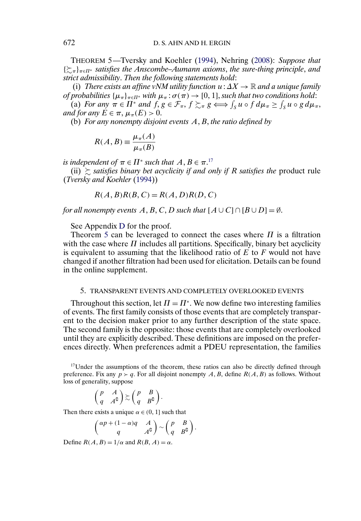<span id="page-18-0"></span>THEOREM 5—Tversky and Koehler [\(1994\)](#page-41-0), Nehring [\(2008\)](#page-40-0): *Suppose that* {-<sup>π</sup>}π∈Π<sup>∗</sup> *satisfies the Anscombe–Aumann axioms*, *the sure-thing principle*, *and strict admissibility*. *Then the following statements hold*:

(i) *There exists an affine vNM utility function*  $u: \Delta X \to \mathbb{R}$  *and a unique family of probabilities*  $\{\mu_{\pi}\}_{{\pi}\in\Pi^*}$  *with*  $\mu_{\pi}$ :  $\sigma(\pi) \to [0, 1]$ *, such that two conditions hold*:

(a) *For any*  $\pi \in \Pi^*$  *and*  $f, g \in \mathcal{F}_{\pi}, f \succsim_{\pi} g \iff \int_S u \circ f d\mu_{\pi} \ge \int_S u \circ g d\mu_{\pi}$ , *and for any*  $E \in \pi$ ,  $\mu_{\pi}(E) > 0$ .

(b) *For any nonempty disjoint events A, B, the ratio defined by* 

$$
R(A, B) \equiv \frac{\mu_{\pi}(A)}{\mu_{\pi}(B)}
$$

*is independent of*  $\pi \in \Pi^*$  *such that*  $A, B \in \pi$ .<sup>17</sup>

(ii)  $\succsim$  *satisfies binary bet acyclicity if and only if* R *satisfies the* product rule (*Tversky and Koehler* [\(1994\)](#page-41-0))

$$
R(A, B)R(B, C) = R(A, D)R(D, C)
$$

*for all nonempty events*  $A, B, C, D$  *such that*  $[A \cup C] \cap [B \cup D] = \emptyset$ .

See Appendix [D](#page-33-0) for the proof.

Theorem 5 can be leveraged to connect the cases where  $\Pi$  is a filtration with the case where  $\Pi$  includes all partitions. Specifically, binary bet acyclicity is equivalent to assuming that the likelihood ratio of  $E$  to  $F$  would not have changed if another filtration had been used for elicitation. Details can be found in the online supplement.

#### 5. TRANSPARENT EVENTS AND COMPLETELY OVERLOOKED EVENTS

Throughout this section, let  $\Pi = \Pi^*$ . We now define two interesting families of events. The first family consists of those events that are completely transparent to the decision maker prior to any further description of the state space. The second family is the opposite: those events that are completely overlooked until they are explicitly described. These definitions are imposed on the preferences directly. When preferences admit a PDEU representation, the families

 $17$ Under the assumptions of the theorem, these ratios can also be directly defined through preference. Fix any  $p > q$ . For all disjoint nonempty A, B, define  $R(A, B)$  as follows. Without loss of generality, suppose

$$
\begin{pmatrix} p & A \\ q & A^{\complement} \end{pmatrix} \gtrsim \begin{pmatrix} p & B \\ q & B^{\complement} \end{pmatrix}.
$$

Then there exists a unique  $\alpha \in (0, 1]$  such that

$$
\begin{pmatrix} \alpha p + (1 - \alpha)q & A \\ q & A^c \end{pmatrix} \sim \begin{pmatrix} p & B \\ q & B^c \end{pmatrix}.
$$

Define  $R(A, B) = 1/\alpha$  and  $R(B, A) = \alpha$ .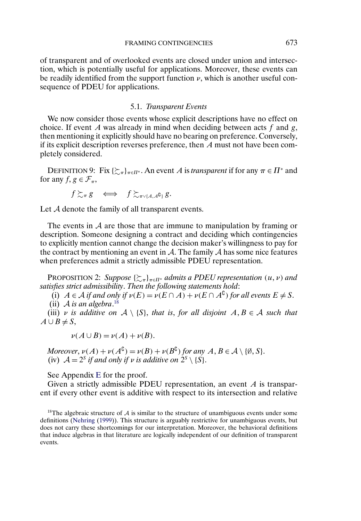<span id="page-19-0"></span>of transparent and of overlooked events are closed under union and intersection, which is potentially useful for applications. Moreover, these events can be readily identified from the support function  $\nu$ , which is another useful consequence of PDEU for applications.

#### 5.1. *Transparent Events*

We now consider those events whose explicit descriptions have no effect on choice. If event A was already in mind when deciding between acts  $f$  and  $g$ , then mentioning it explicitly should have no bearing on preference. Conversely, if its explicit description reverses preference, then A must not have been completely considered.

DEFINITION 9: Fix  $\{\gtrsim_{\pi}\}_{{\pi} \in \Pi^*}$ . An event A is *transparent* if for any  $\pi \in \Pi^*$  and for any  $f, g \in \mathcal{F}_{\pi}$ ,

$$
f \gtrsim_{\pi} g \iff f \gtrsim_{\pi \vee \{A, A^{\complement}\}} g.
$$

Let A denote the family of all transparent events.

The events in  $A$  are those that are immune to manipulation by framing or description. Someone designing a contract and deciding which contingencies to explicitly mention cannot change the decision maker's willingness to pay for the contract by mentioning an event in  $A$ . The family  $A$  has some nice features when preferences admit a strictly admissible PDEU representation.

**PROPOSITION 2:** Suppose  $\{\sum_{\pi}\}_{\pi \in \Pi^*}$  admits a PDEU representation  $(u, v)$  and *satisfies strict admissibility*. *Then the following statements hold*:

(i)  $A \in \mathcal{A}$  *if and only if*  $\nu(E) = \nu(E \cap A) + \nu(E \cap A^{\complement})$  *for all events*  $E \neq S$ .

(ii) A *is an algebra*. 18

(iii) v *is additive on*  $A \setminus \{S\}$ , *that is, for all disjoint*  $A, B \in \mathcal{A}$  *such that*  $A \cup B \neq S$ ,

$$
\nu(A\cup B) = \nu(A) + \nu(B).
$$

*Moreover*,  $\nu(A) + \nu(A^{\complement}) = \nu(B) + \nu(B^{\complement})$  *for any*  $A, B \in \mathcal{A} \setminus \{\emptyset, S\}.$ (iv)  $A = 2^s$  *if and only if v is additive on*  $2^s \setminus \{S\}$ .

See Appendix [E](#page-36-0) for the proof.

Given a strictly admissible PDEU representation, an event  $A$  is transparent if every other event is additive with respect to its intersection and relative

<sup>18</sup>The algebraic structure of  $\mathcal A$  is similar to the structure of unambiguous events under some definitions [\(Nehring](#page-40-0) [\(1999\)](#page-40-0)). This structure is arguably restrictive for unambiguous events, but does not carry these shortcomings for our interpretation. Moreover, the behavioral definitions that induce algebras in that literature are logically independent of our definition of transparent events.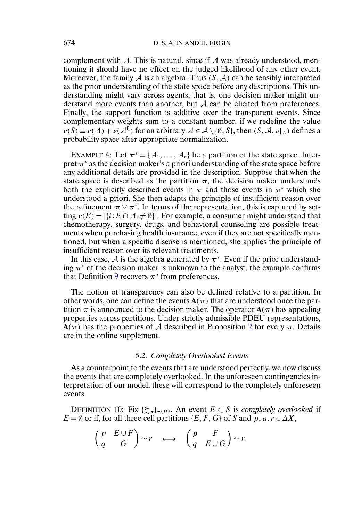complement with  $A$ . This is natural, since if  $A$  was already understood, mentioning it should have no effect on the judged likelihood of any other event. Moreover, the family A is an algebra. Thus  $(S, \mathcal{A})$  can be sensibly interpreted as the prior understanding of the state space before any descriptions. This understanding might vary across agents, that is, one decision maker might understand more events than another, but A can be elicited from preferences. Finally, the support function is additive over the transparent events. Since complementary weights sum to a constant number, if we redefine the value  $\nu(S) \equiv \nu(A) + \nu(A^{\complement})$  for an arbitrary  $A \in \mathcal{A} \setminus \{\emptyset, S\}$ , then  $(S, \mathcal{A}, \nu|_{\mathcal{A}})$  defines a probability space after appropriate normalization.

EXAMPLE 4: Let  $\pi^* = \{A_1, \ldots, A_n\}$  be a partition of the state space. Interpret  $\pi^*$  as the decision maker's a priori understanding of the state space before any additional details are provided in the description. Suppose that when the state space is described as the partition  $\pi$ , the decision maker understands both the explicitly described events in  $\pi$  and those events in  $\pi^*$  which she understood a priori. She then adapts the principle of insufficient reason over the refinement  $\pi \vee \pi^*$ . In terms of the representation, this is captured by setting  $\nu(E) = |\{i : E \cap A_i \neq \emptyset\}|$ . For example, a consumer might understand that chemotherapy, surgery, drugs, and behavioral counseling are possible treatments when purchasing health insurance, even if they are not specifically mentioned, but when a specific disease is mentioned, she applies the principle of insufficient reason over its relevant treatments.

In this case, A is the algebra generated by  $\pi^*$ . Even if the prior understanding  $\pi^*$  of the decision maker is unknown to the analyst, the example confirms that Definition [9](#page-19-0) recovers  $\pi^*$  from preferences.

The notion of transparency can also be defined relative to a partition. In other words, one can define the events  $A(\pi)$  that are understood once the partition  $\pi$  is announced to the decision maker. The operator  $A(\pi)$  has appealing properties across partitions. Under strictly admissible PDEU representations,  $A(\pi)$  has the properties of A described in Proposition [2](#page-19-0) for every  $\pi$ . Details are in the online supplement.

### 5.2. *Completely Overlooked Events*

As a counterpoint to the events that are understood perfectly, we now discuss the events that are completely overlooked. In the unforeseen contingencies interpretation of our model, these will correspond to the completely unforeseen events.

DEFINITION 10: Fix  $\{\succsim_{\pi}\}_{{\pi \in \Pi^*}}$ . An event  $E \subset S$  is *completely overlooked* if  $E = \emptyset$  or if, for all three cell partitions {E, F, G} of S and p, q,  $r \in \Delta X$ ,

$$
\begin{pmatrix} p & E \cup F \\ q & G \end{pmatrix} \sim r \quad \Longleftrightarrow \quad \begin{pmatrix} p & F \\ q & E \cup G \end{pmatrix} \sim r.
$$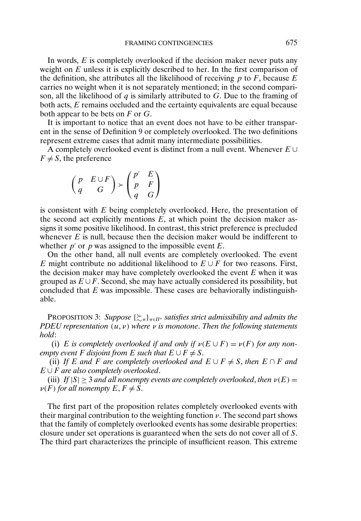<span id="page-21-0"></span>In words,  $E$  is completely overlooked if the decision maker never puts any weight on  $E$  unless it is explicitly described to her. In the first comparison of the definition, she attributes all the likelihood of receiving  $p$  to  $F$ , because  $E$ carries no weight when it is not separately mentioned; in the second comparison, all the likelihood of q is similarly attributed to  $G$ . Due to the framing of both acts, E remains occluded and the certainty equivalents are equal because both appear to be bets on  $F$  or  $G$ .

It is important to notice that an event does not have to be either transparent in the sense of Definition [9](#page-19-0) or completely overlooked. The two definitions represent extreme cases that admit many intermediate possibilities.

A completely overlooked event is distinct from a null event. Whenever  $E \cup$  $F \neq S$ , the preference

$$
\begin{pmatrix} p & E \cup F \\ q & G \end{pmatrix} \succ \begin{pmatrix} p' & E \\ p & F \\ q & G \end{pmatrix}
$$

is consistent with  $E$  being completely overlooked. Here, the presentation of the second act explicitly mentions  $E$ , at which point the decision maker assigns it some positive likelihood. In contrast, this strict preference is precluded whenever  $E$  is null, because then the decision maker would be indifferent to whether  $p'$  or p was assigned to the impossible event E.

On the other hand, all null events are completely overlooked. The event E might contribute no additional likelihood to  $E \cup F$  for two reasons. First, the decision maker may have completely overlooked the event  $E$  when it was grouped as  $E \cup F$ . Second, she may have actually considered its possibility, but concluded that  $E$  was impossible. These cases are behaviorally indistinguishable.

PROPOSITION 3: *Suppose* { $\sum_{π}$ }<sub>π∈Π<sup>∗</sup></sub> *satisfies strict admissibility and admits the PDEU representation* (*u*, *v*) *where v is monotone*. *Then the following statements hold*:

(i) E is completely overlooked if and only if  $\nu(E \cup F) = \nu(F)$  for any non*empty event F* disjoint from *E* such that  $E \cup F \neq S$ .

(ii) If E and F are completely overlooked and  $E \cup F \neq S$ , then  $E \cap F$  and E ∪ F *are also completely overlooked*.

(iii) *If*  $|S| > 3$  *and all nonempty events are completely overlooked, then*  $\nu(E) =$  $\nu(F)$  for all nonempty  $E, F \neq S$ .

The first part of the proposition relates completely overlooked events with their marginal contribution to the weighting function  $\nu$ . The second part shows that the family of completely overlooked events has some desirable properties: closure under set operations is guaranteed when the sets do not cover all of S. The third part characterizes the principle of insufficient reason. This extreme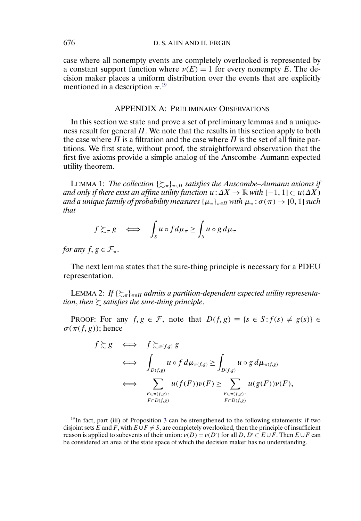<span id="page-22-0"></span>case where all nonempty events are completely overlooked is represented by a constant support function where  $\nu(E) = 1$  for every nonempty E. The decision maker places a uniform distribution over the events that are explicitly mentioned in a description  $\pi$ .<sup>19</sup>

#### APPENDIX A: PRELIMINARY OBSERVATIONS

In this section we state and prove a set of preliminary lemmas and a uniqueness result for general  $\Pi$ . We note that the results in this section apply to both the case where  $\Pi$  is a filtration and the case where  $\Pi$  is the set of all finite partitions. We first state, without proof, the straightforward observation that the first five axioms provide a simple analog of the Anscombe–Aumann expected utility theorem.

LEMMA 1: The collection  $\{\gtrsim_n\}_{n\in\Pi}$  satisfies the Anscombe–Aumann axioms if *and only if there exist an affine utility function*  $u: \Delta X \to \mathbb{R}$  *with*  $[-1, 1] \subset u(\Delta X)$ *and a unique family of probability measures*  $\{\mu_{\pi}\}_{{\pi}\in\Pi}$  *with*  $\mu_{\pi}$ :  $\sigma(\pi) \to [0, 1]$  *such that*

$$
f \gtrsim_{\pi} g \iff \int_{S} u \circ f d\mu_{\pi} \ge \int_{S} u \circ g d\mu_{\pi}
$$

*for any*  $f, g \in \mathcal{F}_{\pi}$ .

The next lemma states that the sure-thing principle is necessary for a PDEU representation.

LEMMA 2: If  $\{\succsim_\pi\}_{\pi\in \Pi}$  admits a partition-dependent expected utility representation, then  $\succsim$  satisfies the sure-thing principle.

PROOF: For any  $f, g \in \mathcal{F}$ , note that  $D(f, g) = \{s \in S : f(s) \neq g(s)\}\in$  $\sigma(\pi(f, g))$ ; hence

$$
f \gtrsim g \iff f \gtrsim_{\pi(f,g)} g
$$
  
\n
$$
\iff \int_{D(f,g)} u \circ f d\mu_{\pi(f,g)} \ge \int_{D(f,g)} u \circ g d\mu_{\pi(f,g)}
$$
  
\n
$$
\iff \sum_{\substack{F \in \pi(f,g): \\ F \subset D(f,g)}} u(f(F)) \nu(F) \ge \sum_{\substack{F \in \pi(f,g): \\ F \subset D(f,g)}} u(g(F)) \nu(F),
$$

<sup>19</sup>In fact, part (iii) of Proposition [3](#page-21-0) can be strengthened to the following statements: if two disjoint sets  $\hat{E}$  and  $\hat{F}$ , with  $\hat{E \cup F \neq S}$ , are completely overlooked, then the principle of insufficient reason is applied to subevents of their union:  $\nu(D) = \nu(D')$  for all  $D, D' \subset E \cup F$ . Then  $E \cup F$  can be considered an area of the state space of which the decision maker has no understanding.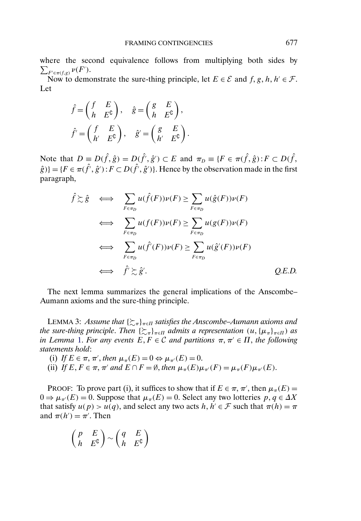<span id="page-23-0"></span>where the second equivalence follows from multiplying both sides by  $\sum_{F' \in \pi(f,g)} \nu(F')$ .

Now to demonstrate the sure-thing principle, let  $E \in \mathcal{E}$  and  $f, g, h, h' \in \mathcal{F}$ . Let

$$
\hat{f} = \begin{pmatrix} f & E \\ h & E^{\mathsf{C}} \end{pmatrix}, \quad \hat{g} = \begin{pmatrix} g & E \\ h & E^{\mathsf{C}} \end{pmatrix},
$$

$$
\hat{f'} = \begin{pmatrix} f & E \\ h' & E^{\mathsf{C}} \end{pmatrix}, \quad \hat{g'} = \begin{pmatrix} g & E \\ h' & E^{\mathsf{C}} \end{pmatrix}.
$$

Note that  $D \equiv D(\hat{f}, \hat{g}) = D(\hat{f}', \hat{g}') \subset E$  and  $\pi_D \equiv \{F \in \pi(\hat{f}, \hat{g}) : F \subset D(\hat{f}, \hat{g}')\}$  $\hat{g}$ )} = { $F \in \pi(\hat{f}', \hat{g}')$  :  $F \subset D(\hat{f}', \hat{g}')$ }. Hence by the observation made in the first paragraph,

$$
\hat{f} \gtrsim \hat{g} \iff \sum_{F \in \pi_D} u(\hat{f}(F))\nu(F) \ge \sum_{F \in \pi_D} u(\hat{g}(F))\nu(F)
$$
\n
$$
\iff \sum_{F \in \pi_D} u(f(F))\nu(F) \ge \sum_{F \in \pi_D} u(g(F))\nu(F)
$$
\n
$$
\iff \sum_{F \in \pi_D} u(\hat{f}'(F))\nu(F) \ge \sum_{F \in \pi_D} u(\hat{g}'(F))\nu(F)
$$
\n
$$
\iff \hat{f}' \gtrsim \hat{g}'.
$$
\nQ.E.D.

The next lemma summarizes the general implications of the Anscombe– Aumann axioms and the sure-thing principle.

LEMMA 3: Assume that { $\succsim_{\pi}$ }<sub>π∈Π</sub> satisfies the Anscombe–Aumann axioms and *the sure-thing principle. Then*  $\{\sum_{\pi}\}_{\pi \in \Pi}$  admits a representation  $(u, {\{\mu_{\pi}\}}_{\pi \in \Pi})$  as *in Lemma* [1.](#page-22-0) *For any events*  $E, F \in \mathcal{C}$  *and partitions*  $\pi, \pi \in \Pi$ , *the following statements hold*:

- (i) If  $E \in \pi$ ,  $\pi'$ , then  $\mu_{\pi}(E) = 0 \Leftrightarrow \mu_{\pi'}(E) = 0$ .
- (ii) *If*  $E, F \in \pi$ ,  $\pi'$  and  $E \cap F = \emptyset$ , then  $\mu_{\pi}(E)\mu_{\pi'}(F) = \mu_{\pi}(F)\mu_{\pi'}(E)$ .

PROOF: To prove part (i), it suffices to show that if  $E \in \pi$ ,  $\pi'$ , then  $\mu_{\pi}(E)$  =  $0 \Rightarrow \mu_{\pi}(E) = 0$ . Suppose that  $\mu_{\pi}(E) = 0$ . Select any two lotteries  $p, q \in \Delta X$ that satisfy  $u(p) > u(q)$ , and select any two acts  $h, h' \in \mathcal{F}$  such that  $\pi(h) = \pi$ and  $\pi(h') = \pi'$ . Then

$$
\begin{pmatrix} p & E \\ h & E^{\complement} \end{pmatrix} \sim \begin{pmatrix} q & E \\ h & E^{\complement} \end{pmatrix}
$$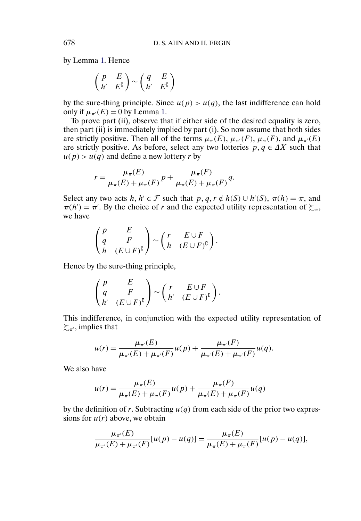by Lemma [1.](#page-22-0) Hence

$$
\begin{pmatrix} p & E \\ h' & E^c \end{pmatrix} \sim \begin{pmatrix} q & E \\ h' & E^c \end{pmatrix}
$$

by the sure-thing principle. Since  $u(p) > u(q)$ , the last indifference can hold only if  $\mu_{\pi}(E) = 0$  by Lemma [1.](#page-22-0)

To prove part (ii), observe that if either side of the desired equality is zero, then part (ii) is immediately implied by part (i). So now assume that both sides are strictly positive. Then all of the terms  $\mu_{\pi}(E)$ ,  $\mu_{\pi}(F)$ ,  $\mu_{\pi}(F)$ , and  $\mu_{\pi}(E)$ are strictly positive. As before, select any two lotteries  $p, q \in \Delta X$  such that  $u(p) > u(q)$  and define a new lottery r by

$$
r = \frac{\mu_{\pi}(E)}{\mu_{\pi}(E) + \mu_{\pi}(F)} p + \frac{\mu_{\pi}(F)}{\mu_{\pi}(E) + \mu_{\pi}(F)} q.
$$

Select any two acts  $h, h' \in \mathcal{F}$  such that  $p, q, r \notin h(S) \cup h'(S), \pi(h) = \pi$ , and  $\pi(h') = \pi'$ . By the choice of r and the expected utility representation of  $\succsim_{\pi}$ , we have

$$
\begin{pmatrix} p & E \\ q & F \\ h & (E \cup F)^{\complement} \end{pmatrix} \sim \begin{pmatrix} r & E \cup F \\ h & (E \cup F)^{\complement} \end{pmatrix}.
$$

Hence by the sure-thing principle,

$$
\begin{pmatrix} p & E \\ q & F \\ h' & (E \cup F)^{\complement} \end{pmatrix} \sim \begin{pmatrix} r & E \cup F \\ h' & (E \cup F)^{\complement} \end{pmatrix}.
$$

This indifference, in conjunction with the expected utility representation of  $\succsim_{\pi'}$ , implies that

$$
u(r) = \frac{\mu_{\pi'}(E)}{\mu_{\pi'}(E) + \mu_{\pi'}(F)} u(p) + \frac{\mu_{\pi'}(F)}{\mu_{\pi'}(E) + \mu_{\pi'}(F)} u(q).
$$

We also have

$$
u(r) = \frac{\mu_{\pi}(E)}{\mu_{\pi}(E) + \mu_{\pi}(F)} u(p) + \frac{\mu_{\pi}(F)}{\mu_{\pi}(E) + \mu_{\pi}(F)} u(q)
$$

by the definition of r. Subtracting  $u(q)$  from each side of the prior two expressions for  $u(r)$  above, we obtain

$$
\frac{\mu_{\pi'}(E)}{\mu_{\pi'}(E) + \mu_{\pi'}(F)} [u(p) - u(q)] = \frac{\mu_{\pi}(E)}{\mu_{\pi}(E) + \mu_{\pi}(F)} [u(p) - u(q)],
$$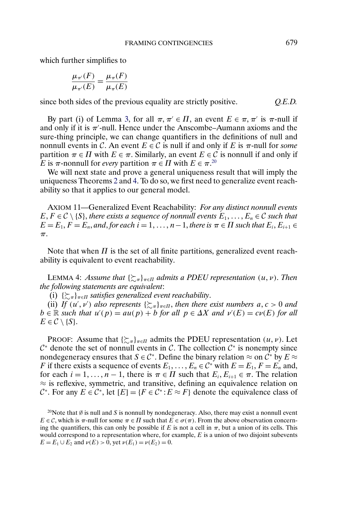<span id="page-25-0"></span>which further simplifies to

$$
\frac{\mu_{\pi'}(F)}{\mu_{\pi'}(E)} = \frac{\mu_{\pi}(F)}{\mu_{\pi}(E)}
$$

since both sides of the previous equality are strictly positive. *Q.E.D.*

By part (i) of Lemma [3,](#page-23-0) for all  $\pi, \pi \in \Pi$ , an event  $E \in \pi, \pi'$  is  $\pi$ -null if and only if it is  $\pi'$ -null. Hence under the Anscombe–Aumann axioms and the sure-thing principle, we can change quantifiers in the definitions of null and nonnull events in C. An event  $E \in \mathcal{C}$  is null if and only if E is  $\pi$ -null for *some* partition  $\pi \in \Pi$  with  $E \in \pi$ . Similarly, an event  $E \in \mathcal{C}$  is nonnull if and only if *E* is  $\pi$ -nonnull for *every* partition  $\pi \in \Pi$  with  $E \in \pi$ .<sup>20</sup>

We will next state and prove a general uniqueness result that will imply the uniqueness Theorems [2](#page-13-0) and [4.](#page-17-0) To do so, we first need to generalize event reachability so that it applies to our general model.

AXIOM 11—Generalized Event Reachability: *For any distinct nonnull events*  $E, F \in \mathcal{C} \setminus \{S\}$ , *there exists a sequence of nonnull events*  $E_1, \ldots, E_n \in \mathcal{C}$  *such that*  $E = E_1, F = E_n$ , and, for each  $i = 1, \ldots, n-1$ , there is  $\pi \in \Pi$  such that  $E_i, E_{i+1} \in$ π.

Note that when  $\Pi$  is the set of all finite partitions, generalized event reachability is equivalent to event reachability.

LEMMA 4: *Assume that*  $\{\gtrsim_{\pi}\}_{\pi \in \Pi}$  admits a PDEU representation  $(u, v)$ . Then *the following statements are equivalent*:

(i)  $\{\sum_{\pi}\}_{{\pi}\in \Pi}$  satisfies generalized event reachability.

(ii) If  $(u', v')$  also represents  $\{\sum_{\pi}\}_{\pi \in \Pi}$ , then there exist numbers  $a, c > 0$  and  $b \in \mathbb{R}$  *such that*  $u'(p) = au(p) + b$  *for all*  $p \in \Delta X$  *and*  $v'(E) = cv(E)$  *for all*  $E \in \mathcal{C} \setminus \{S\}.$ 

PROOF: Assume that  $\{\xi_{\pi}\}_{{\pi}\in \Pi}$  admits the PDEU representation  $(u, v)$ . Let  $\mathcal{C}^*$  denote the set of nonnull events in  $\mathcal{C}$ . The collection  $\mathcal{C}^*$  is nonempty since nondegeneracy ensures that  $S \in \mathcal{C}^*$ . Define the binary relation  $\approx$  on  $\hat{\mathcal{C}}^*$  by  $E \approx$ F if there exists a sequence of events  $E_1, \ldots, E_n \in \mathcal{C}^*$  with  $E = E_1, F = E_n$  and, for each  $i = 1, ..., n - 1$ , there is  $\pi \in \Pi$  such that  $E_i, E_{i+1} \in \pi$ . The relation  $\approx$  is reflexive, symmetric, and transitive, defining an equivalence relation on  $\mathcal{C}^*$ . For any  $E \in \mathcal{C}^*$ , let  $[E] = \{F \in \mathcal{C}^* : E \approx F\}$  denote the equivalence class of

<sup>&</sup>lt;sup>20</sup>Note that  $\emptyset$  is null and S is nonnull by nondegeneracy. Also, there may exist a nonnull event  $E \in \mathcal{C}$ , which is  $\pi$ -null for some  $\pi \in \Pi$  such that  $E \in \sigma(\pi)$ . From the above observation concerning the quantifiers, this can only be possible if E is not a cell in  $\pi$ , but a union of its cells. This would correspond to a representation where, for example,  $E$  is a union of two disjoint subevents  $E = E_1 \cup E_2$  and  $\nu(E) > 0$ , yet  $\nu(E_1) = \nu(E_2) = 0$ .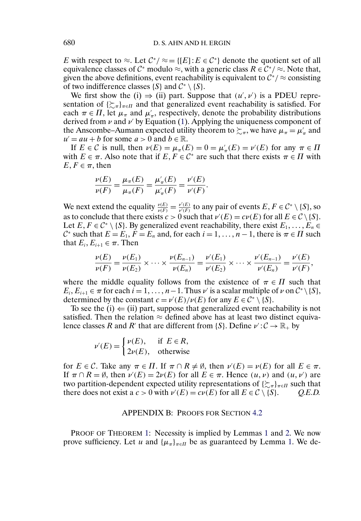<span id="page-26-0"></span>E with respect to  $\approx$ . Let  $\mathcal{C}^*/\approx = \{[E]: E \in \mathcal{C}^*\}$  denote the quotient set of all equivalence classes of  $\mathcal{C}^*$  modulo  $\approx$ , with a generic class  $R \in \mathcal{C}^*/\approx$ . Note that, given the above definitions, event reachability is equivalent to  $C^*/\approx$  consisting of two indifference classes  $\{S\}$  and  $C^* \setminus \{S\}$ .

We first show the (i)  $\Rightarrow$  (ii) part. Suppose that  $(u', v')$  is a PDEU representation of  $\{\gtrsim_{\pi}\}_{\pi \in \Pi}$  and that generalized event reachability is satisfied. For each  $\pi \in \Pi$ , let  $\mu_{\pi}$  and  $\mu'_{\pi}$ , respectively, denote the probability distributions derived from  $\nu$  and  $\nu'$  by Equation [\(1\)](#page-8-0). Applying the uniqueness component of the Anscombe–Aumann expected utility theorem to  $\succsim_{\pi}$ , we have  $\mu_{\pi} = \mu'_{\pi}$  and  $u' = au + b$  for some  $a > 0$  and  $b \in \mathbb{R}$ .

If  $E \in \mathcal{C}$  is null, then  $\nu(E) = \mu_{\pi}(E) = 0 = \mu'_{\pi}(E) = \nu'(E)$  for any  $\pi \in \Pi$ with  $E \in \pi$ . Also note that if  $E, F \in \mathcal{C}^*$  are such that there exists  $\pi \in \Pi$  with  $E, F \in \pi$ , then

$$
\frac{\nu(E)}{\nu(F)} = \frac{\mu_{\pi}(E)}{\mu_{\pi}(F)} = \frac{\mu'_{\pi}(E)}{\mu'_{\pi}(F)} = \frac{\nu'(E)}{\nu'(F)}.
$$

We next extend the equality  $\frac{v(E)}{v(F)} = \frac{v'(E)}{v'(F)}$  to any pair of events  $E, F \in C^* \setminus \{S\}$ , so as to conclude that there exists  $c > 0$  such that  $\nu'(E) = c\nu(E)$  for all  $E \in \mathcal{C} \setminus \{S\}.$ Let  $E, F \in C^* \setminus \{S\}$ . By generalized event reachability, there exist  $E_1, \ldots, E_n \in$  $\mathcal{C}^*$  such that  $E = E_1$ ,  $F = E_n$  and, for each  $i = 1, \ldots, n - 1$ , there is  $\pi \in \Pi$  such that  $E_i, E_{i+1} \in \pi$ . Then

$$
\frac{\nu(E)}{\nu(F)} = \frac{\nu(E_1)}{\nu(E_2)} \times \cdots \times \frac{\nu(E_{n-1})}{\nu(E_n)} = \frac{\nu'(E_1)}{\nu'(E_2)} \times \cdots \times \frac{\nu'(E_{n-1})}{\nu'(E_n)} = \frac{\nu'(E)}{\nu'(F)},
$$

where the middle equality follows from the existence of  $\pi \in \Pi$  such that  $E_i, E_{i+1} \in \pi$  for each  $i = 1, \ldots, n-1$ . Thus  $\nu'$  is a scalar multiple of  $\nu$  on  $\mathcal{C}^* \setminus \{S\},\$ determined by the constant  $c = \nu'(E)/\nu(E)$  for any  $E \in C^* \setminus \{S\}.$ 

To see the (i)  $\Leftarrow$  (ii) part, suppose that generalized event reachability is not satisfied. Then the relation  $\approx$  defined above has at least two distinct equivalence classes R and R' that are different from {S}. Define  $\nu' : C \to \mathbb{R}_+$  by

$$
\nu'(E) = \begin{cases} \nu(E), & \text{if } E \in R, \\ 2\nu(E), & \text{otherwise} \end{cases}
$$

for  $E \in \mathcal{C}$ . Take any  $\pi \in \Pi$ . If  $\pi \cap R \neq \emptyset$ , then  $\nu'(E) = \nu(E)$  for all  $E \in \pi$ . If  $\pi \cap R = \emptyset$ , then  $\nu'(E) = 2\nu(E)$  for all  $E \in \pi$ . Hence  $(u, v)$  and  $(u, v')$  are two partition-dependent expected utility representations of  $\{\gtrsim_{\pi}\}_{{\pi}\in \Pi}$  such that there does not exist a  $c > 0$  with  $\nu'(E) = c\nu(E)$  for all  $E \in C \setminus \{S\}$ . *Q.E.D.* 

#### APPENDIX B: PROOFS FOR SECTION [4.2](#page-12-0)

PROOF OF THEOREM [1:](#page-12-0) Necessity is implied by Lemmas [1](#page-22-0) and [2.](#page-22-0) We now prove sufficiency. Let u and  $\{\mu_{\pi}\}_{\pi \in \Pi}$  be as guaranteed by Lemma [1.](#page-22-0) We de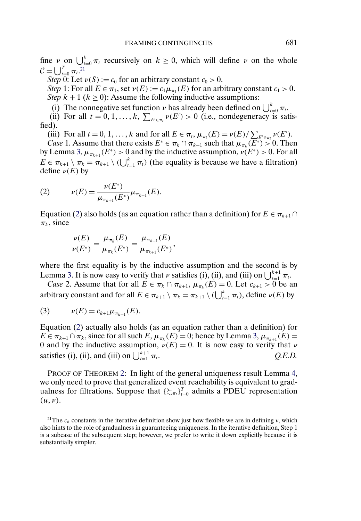fine  $\nu$  on  $\bigcup_{t=0}^{k} \pi_t$  recursively on  $k \geq 0$ , which will define  $\nu$  on the whole  $\mathcal{C} = \bigcup_{t=0}^{T} \pi_t^{21}$ 

*Step* 0: Let  $\nu(S) := c_0$  for an arbitrary constant  $c_0 > 0$ .

*Step* 1: For all  $E \in \pi_1$ , set  $\nu(E) := c_1 \mu_{\pi_1}(E)$  for an arbitrary constant  $c_1 > 0$ . *Step*  $k + 1$  ( $k \ge 0$ ): Assume the following inductive assumptions:

(i) The nonnegative set function  $\nu$  has already been defined on  $\bigcup_{t=0}^{k} \pi_t$ .

(ii) For all  $t = 0, 1, ..., k$ ,  $\sum_{E' \in \pi_t} \nu(E') > 0$  (i.e., nondegeneracy is satisfied).

(iii) For all  $t = 0, 1, ..., k$  and for all  $E \in \pi_t$ ,  $\mu_{\pi_t}(E) = \nu(E) / \sum_{E' \in \pi_t} \nu(E')$ .

*Case* 1. Assume that there exists  $E^* \in \pi_k \cap \pi_{k+1}$  such that  $\mu_{\pi_k}(\overline{E^*}) > 0$ . Then by Lemma [3,](#page-23-0)  $\mu_{\pi_{k+1}}(E^*) > 0$  and by the inductive assumption,  $\nu(E^*) > 0$ . For all  $E \in \pi_{k+1} \setminus \pi_k = \pi_{k+1} \setminus (\bigcup_{t=1}^k \pi_t)$  (the equality is because we have a filtration) define  $\nu(E)$  by

(2) 
$$
\nu(E) = \frac{\nu(E^*)}{\mu_{\pi_{k+1}}(E^*)} \mu_{\pi_{k+1}}(E).
$$

Equation (2) also holds (as an equation rather than a definition) for  $E \in \pi_{k+1} \cap$  $\pi_k$ , since

$$
\frac{\nu(E)}{\nu(E^*)} = \frac{\mu_{\pi_k}(E)}{\mu_{\pi_k}(E^*)} = \frac{\mu_{\pi_{k+1}}(E)}{\mu_{\pi_{k+1}}(E^*)},
$$

where the first equality is by the inductive assumption and the second is by Lemma [3.](#page-23-0) It is now easy to verify that  $\nu$  satisfies (i), (ii), and (iii) on  $\bigcup_{t=1}^{k+1} \pi_t$ .

*Case* 2. Assume that for all  $E \in \pi_k \cap \pi_{k+1}$ ,  $\mu_{\pi_k}(E) = 0$ . Let  $c_{k+1} > 0$  be an arbitrary constant and for all  $E \in \pi_{k+1} \setminus \pi_k = \pi_{k+1} \setminus (\bigcup_{t=1}^k \pi_t)$ , define  $\nu(E)$  by

(3) 
$$
\nu(E) = c_{k+1} \mu_{\pi_{k+1}}(E).
$$

Equation (2) actually also holds (as an equation rather than a definition) for  $E \in \pi_{k+1} \cap \pi_k$ , since for all such  $E, \mu_{\pi_k}(E) = 0$ ; hence by Lemma [3,](#page-23-0)  $\mu_{\pi_{k+1}}(E) =$ 0 and by the inductive assumption,  $v(E) = 0$ . It is now easy to verify that v satisfies (i), (ii), and (iii) on  $\bigcup_{t=1}^{k+1} \pi_t$ . *Q.E.D.* 

PROOF OF THEOREM [2:](#page-13-0) In light of the general uniqueness result Lemma [4,](#page-25-0) we only need to prove that generalized event reachability is equivalent to gradualness for filtrations. Suppose that  $\{\sum_{\pi_i}\}_{i=0}^T$  admits a PDEU representation  $(u, v)$ .

<sup>&</sup>lt;sup>21</sup>The  $c_k$  constants in the iterative definition show just how flexible we are in defining  $\nu$ , which also hints to the role of gradualness in guaranteeing uniqueness. In the iterative definition, Step 1 is a subcase of the subsequent step; however, we prefer to write it down explicitly because it is substantially simpler.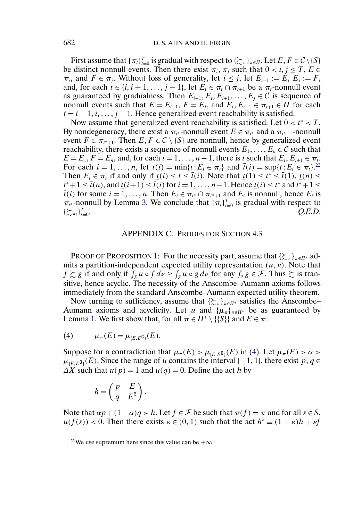<span id="page-28-0"></span>First assume that  ${\{\pi_t\}}_{t=0}^T$  is gradual with respect to  ${\{\mathcal{Z}}_{\pi}\}}_{\pi \in \Pi}$ . Let  $E, F \in \mathcal{C} \setminus \{S\}$ be distinct nonnull events. Then there exist  $\pi_i$ ,  $\pi_j$  such that  $0 < i, j \leq T$ ,  $E \in$  $\pi_i$ , and  $F \in \pi_i$ . Without loss of generality, let  $i \leq j$ , let  $E_{i-1} := E$ ,  $E_i := F$ , and, for each  $t \in \{i, i+1, \ldots, j-1\}$ , let  $E_t \in \pi_t \cap \pi_{t+1}$  be a  $\pi_t$ -nonnull event as guaranteed by gradualness. Then  $E_{i-1}, E_i, E_{i+1}, \ldots, E_j \in \mathcal{C}$  is sequence of nonnull events such that  $E = E_{i-1}$ ,  $F = E_i$ , and  $E_t$ ,  $E_{t+1} \in \pi_{t+1} \in \Pi$  for each  $t = i - 1, i, \ldots, j - 1$ . Hence generalized event reachability is satisfied.

Now assume that generalized event reachability is satisfied. Let  $0 < t^* < T$ . By nondegeneracy, there exist a  $\pi_{t^*}$ -nonnull event  $E \in \pi_{t^*}$  and a  $\pi_{t^*+1}$ -nonnull event  $F \in \pi_{t^*+1}$ . Then  $E, F \in \mathcal{C} \setminus \{S\}$  are nonnull, hence by generalized event reachability, there exists a sequence of nonnull events  $E_1, \ldots, E_n \in \mathcal{C}$  such that  $E = E_1, F = E_n$ , and, for each  $i = 1, \ldots, n-1$ , there is t such that  $E_i, E_{i+1} \in \pi_t$ . For each  $i = 1, ..., n$ , let  $\underline{t}(i) = \min\{t : E_i \in \pi_t\}$  and  $\overline{t}(i) = \sup\{t : E_i \in \pi_t\}^{22}$ . Then  $E_i \in \pi_t$  if and only if  $\underline{t}(i) \le t \le \overline{t}(i)$ . Note that  $\underline{t}(1) \le t^* \le \overline{t}(1)$ ,  $\underline{t}(n) \le t$  $t^*+1 \leq \bar{t}(n)$ , and  $\underline{t}(i+1) \leq \bar{t}(i)$  for  $i = 1, ..., n-1$ . Hence  $\underline{t}(i) \leq t^*$  and  $t^*+1 \leq$  $\overline{t}(i)$  for some  $i = 1, \ldots, n$ . Then  $E_i \in \pi_{t^*} \cap \pi_{t^*+1}$  and  $E_i$  is nonnull, hence  $E_i$  is  $\pi_{t^*}$ -nonnull by Lemma [3.](#page-23-0) We conclude that  $\{\pi_t\}_{t=0}^T$  is gradual with respect to  $\{\succsim_{\pi_t}\}_{t=1}^T$  $T_{t=0}$ .  $Q.E.D.$ 

### APPENDIX C: PROOFS FOR SECTION [4.3](#page-14-0)

PROOF OF PROPOSITION [1:](#page-15-0) For the necessity part, assume that  $\{\gtrsim_\pi\}_{\pi \in \Pi^*}$  admits a partition-independent expected utility representation  $(u, v)$ . Note that  $f \gtrsim g$  if and only if  $\int_S u \circ f \, dv \ge \int_S u \circ g \, dv$  for any  $f, g \in \mathcal{F}$ . Thus  $\succsim$  is transitive, hence acyclic. The necessity of the Anscombe–Aumann axioms follows immediately from the standard Anscombe–Aumann expected utility theorem.

Now turning to sufficiency, assume that  $\{\sum_{\pi}\}_{\pi \in \Pi^*}$  satisfies the Anscombe-Aumann axioms and acyclicity. Let u and  $\{\mu_{\pi}\}_{{\pi}\in\Pi^*}$  be as guaranteed by Lemma [1.](#page-22-0) We first show that, for all  $\pi \in \Pi^* \setminus \{ \{S\} \}$  and  $E \in \pi$ :

(4) 
$$
\mu_{\pi}(E) = \mu_{\{E,E^{\complement}\}}(E).
$$

Suppose for a contradiction that  $\mu_{\pi}(E) > \mu_{\{E,E^c\}}(E)$  in (4). Let  $\mu_{\pi}(E) > \alpha >$  $\mu_{E,E}(\mathcal{E})$ . Since the range of u contains the interval [-1, 1], there exist p, q  $\in$  $\Delta X$  such that  $u(p) = 1$  and  $u(q) = 0$ . Define the act h by

$$
h = \begin{pmatrix} p & E \\ q & E^{\complement} \end{pmatrix}.
$$

Note that  $\alpha p + (1 - \alpha)q > h$ . Let  $f \in \mathcal{F}$  be such that  $\pi(f) = \pi$  and for all  $s \in S$ ,  $u(f(s)) < 0$ . Then there exists  $\varepsilon \in (0,1)$  such that the act  $h^{\varepsilon} \equiv (1 - \varepsilon)h + \varepsilon f$ 

<sup>&</sup>lt;sup>22</sup>We use supremum here since this value can be  $+\infty$ .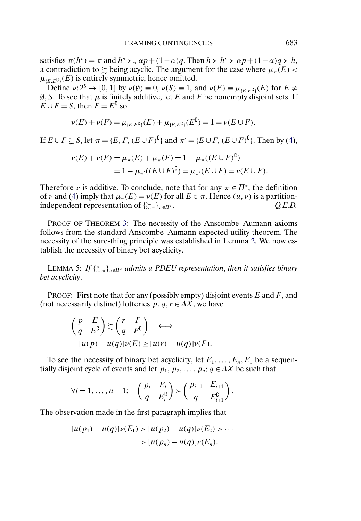satisfies  $\pi(h^{\varepsilon}) = \pi$  and  $h^{\varepsilon} > \pi \alpha p + (1 - \alpha)q$ . Then  $h > h^{\varepsilon} > \alpha p + (1 - \alpha)q > h$ , a contradiction to  $\succsim$  being acyclic. The argument for the case where  $\mu_{\pi}(E)$  <  $\mu_{\{E,E^\complement\}}(E)$  is entirely symmetric, hence omitted.

Define  $\nu: 2^S \to [0, 1]$  by  $\nu(\emptyset) \equiv 0$ ,  $\nu(S) \equiv 1$ , and  $\nu(E) \equiv \mu_{\{E, E^{\complement}\}}(E)$  for  $E \neq$  $\emptyset$ , S. To see that  $\mu$  is finitely additive, let E and F be nonempty disjoint sets. If  $E \cup F = S$ , then  $F = E^{\mathbb{C}}$  so

$$
\nu(E) + \nu(F) = \mu_{\{E,E^{\mathfrak{G}}\}}(E) + \mu_{\{E,E^{\mathfrak{G}}\}}(E^{\mathfrak{G}}) = 1 = \nu(E \cup F).
$$

If  $E \cup F \subsetneq S$ , let  $\pi = \{E, F, (E \cup F)^{\complement}\}\$  and  $\pi' = \{E \cup F, (E \cup F)^{\complement}\}\$ . Then by [\(4\)](#page-28-0),

$$
\nu(E) + \nu(F) = \mu_{\pi}(E) + \mu_{\pi}(F) = 1 - \mu_{\pi}((E \cup F)^{\mathfrak{L}})
$$
  
= 1 - \mu\_{\pi'}((E \cup F)^{\mathfrak{L}}) = \mu\_{\pi'}(E \cup F) = \nu(E \cup F).

Therefore  $\nu$  is additive. To conclude, note that for any  $\pi \in \Pi^*$ , the definition of v and [\(4\)](#page-28-0) imply that  $\mu_{\pi}(E) = \nu(E)$  for all  $E \in \pi$ . Hence  $(u, v)$  is a partitionindependent representation of  $\{\gtrsim_{\pi}\}_{\pi \in \Pi^*}$ . *Q.E.D.* 

PROOF OF THEOREM [3:](#page-16-0) The necessity of the Anscombe–Aumann axioms follows from the standard Anscombe–Aumann expected utility theorem. The necessity of the sure-thing principle was established in Lemma [2.](#page-22-0) We now establish the necessity of binary bet acyclicity.

LEMMA 5: If { $\sum_{\pi} \sum_{\pi \in \Pi^*}$  admits a PDEU representation, then it satisfies binary *bet acyclicity*.

PROOF: First note that for any (possibly empty) disjoint events  $E$  and  $F$ , and (not necessarily distinct) lotteries  $p, q, r \in \Delta X$ , we have

$$
\begin{aligned}\n\begin{pmatrix}\np & E \\
q & E^c\n\end{pmatrix} &\geq \begin{pmatrix}\nr & F \\
q & F^c\n\end{pmatrix} \iff \\
[u(p) - u(q)]\nu(E) &\geq [u(r) - u(q)]\nu(F).\n\end{aligned}
$$

To see the necessity of binary bet acyclicity, let  $E_1, \ldots, E_n, E_1$  be a sequentially disjoint cycle of events and let  $p_1, p_2, \ldots, p_n; q \in \Delta X$  be such that

$$
\forall i=1,\ldots,n-1: \quad \begin{pmatrix} p_i & E_i \\ q & E_i^{\complement} \end{pmatrix} \succ \begin{pmatrix} p_{i+1} & E_{i+1} \\ q & E_{i+1}^{\complement} \end{pmatrix}.
$$

The observation made in the first paragraph implies that

$$
[u(p_1) - u(q)]\nu(E_1) > [u(p_2) - u(q)]\nu(E_2) > \cdots
$$
  
> 
$$
[u(p_n) - u(q)]\nu(E_n).
$$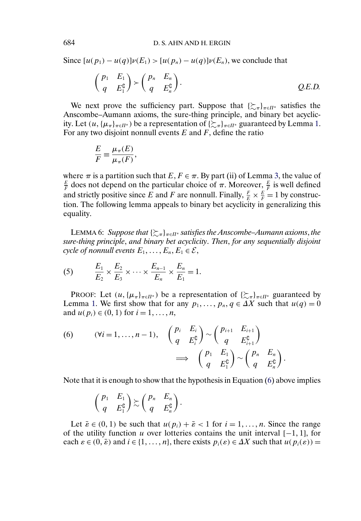Since  $[u(p_1) - u(q)]\nu(E_1) > [u(p_n) - u(q)]\nu(E_n)$ , we conclude that

$$
\begin{pmatrix} p_1 & E_1 \ q & E_1^c \end{pmatrix} \succ \begin{pmatrix} p_n & E_n \ q & E_n^c \end{pmatrix}.
$$
 Q.E.D.

We next prove the sufficiency part. Suppose that  $\{\sum_{\pi}\}_{\pi \in \Pi^*}$  satisfies the Anscombe–Aumann axioms, the sure-thing principle, and binary bet acyclicity. Let  $(u, {\mu_{\pi}}_{\pi \in \Pi^*})$  be a representation of  $\{\sum_{\pi} {\}_{\pi \in \Pi^*}$  guaranteed by Lemma [1.](#page-22-0) For any two disjoint nonnull events  $E$  and  $F$ , define the ratio

$$
\frac{E}{F} \equiv \frac{\mu_{\pi}(E)}{\mu_{\pi}(F)},
$$

where  $\pi$  is a partition such that  $E, F \in \pi$ . By part (ii) of Lemma [3,](#page-23-0) the value of  $\frac{E}{F}$  does not depend on the particular choice of  $\pi$ . Moreover,  $\frac{E}{F}$  is well defined and strictly positive since E and F are nonnull. Finally,  $\frac{F}{E} \times \frac{E}{F} = 1$  by construction. The following lemma appeals to binary bet acyclicity in generalizing this equality.

LEMMA 6: Suppose that { $\succsim_\pi$ }<sub>π∈Π\*</sub> satisfies the Anscombe–Aumann axioms, the *sure-thing principle*, *and binary bet acyclicity*. *Then*, *for any sequentially disjoint cycle of nonnull events*  $E_1, \ldots, E_n, E_1 \in \mathcal{E}$ ,

(5) 
$$
\frac{E_1}{E_2} \times \frac{E_2}{E_3} \times \cdots \times \frac{E_{n-1}}{E_n} \times \frac{E_n}{E_1} = 1.
$$

PROOF: Let  $(u, {\mu_{\pi}}_{\pi \in \Pi^*})$  be a representation of  $\{\sum_{\pi} {\pi}$ <sub> $\pi \in \Pi^*}$ </sub> guaranteed by Lemma [1.](#page-22-0) We first show that for any  $p_1, \ldots, p_n, q \in \Delta X$  such that  $u(q) = 0$ and  $u(p_i) \in (0, 1)$  for  $i = 1, ..., n$ ,

(6) 
$$
(\forall i = 1, ..., n-1), \quad \begin{pmatrix} p_i & E_i \\ q & E_i^{\mathsf{C}} \end{pmatrix} \sim \begin{pmatrix} p_{i+1} & E_{i+1} \\ q & E_{i+1}^{\mathsf{C}} \end{pmatrix} \implies \begin{pmatrix} p_1 & E_1 \\ q & E_1^{\mathsf{C}} \end{pmatrix} \sim \begin{pmatrix} p_n & E_n \\ q & E_n^{\mathsf{C}} \end{pmatrix}.
$$

Note that it is enough to show that the hypothesis in Equation (6) above implies

.

$$
\begin{pmatrix} p_1 & E_1 \ q & E_1^{\complement} \end{pmatrix} \gtrsim \begin{pmatrix} p_n & E_n \ q & E_n^{\complement} \end{pmatrix}
$$

Let  $\bar{\varepsilon} \in (0, 1)$  be such that  $u(p_i) + \bar{\varepsilon} < 1$  for  $i = 1, \ldots, n$ . Since the range of the utility function u over lotteries contains the unit interval  $[-1, 1]$ , for each  $\varepsilon \in (0, \bar{\varepsilon})$  and  $i \in \{1, ..., n\}$ , there exists  $p_i(\varepsilon) \in \Delta X$  such that  $u(p_i(\varepsilon)) =$ 

<span id="page-30-0"></span>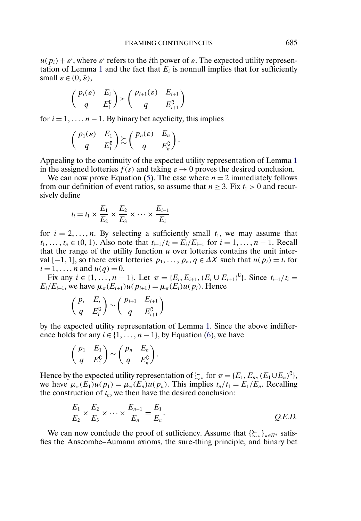$u(p_i) + \varepsilon^i$ , where  $\varepsilon^i$  refers to the *i*th power of  $\varepsilon$ . The expected utility represen-tation of Lemma [1](#page-22-0) and the fact that  $E_i$  is nonnull implies that for sufficiently small  $\varepsilon \in (0, \bar{\varepsilon})$ ,

$$
\begin{pmatrix} p_i(\varepsilon) & E_i \\ q & E_i^{\complement} \end{pmatrix} \succ \begin{pmatrix} p_{i+1}(\varepsilon) & E_{i+1} \\ q & E_{i+1}^{\complement} \end{pmatrix}
$$

for  $i = 1, \ldots, n - 1$ . By binary bet acyclicity, this implies

$$
\begin{pmatrix} p_1(\varepsilon) & E_1 \\ q & E_1^{\complement} \end{pmatrix} \gtrsim \begin{pmatrix} p_n(\varepsilon) & E_n \\ q & E_n^{\complement} \end{pmatrix}.
$$

Appealing to the continuity of the expected utility representation of Lemma [1](#page-22-0) in the assigned lotteries  $f(s)$  and taking  $\varepsilon \to 0$  proves the desired conclusion.

We can now prove Equation [\(5\)](#page-30-0). The case where  $n = 2$  immediately follows from our definition of event ratios, so assume that  $n \geq 3$ . Fix  $t_1 > 0$  and recursively define

$$
t_i = t_1 \times \frac{E_1}{E_2} \times \frac{E_2}{E_3} \times \cdots \times \frac{E_{i-1}}{E_i}
$$

for  $i = 2, \ldots, n$ . By selecting a sufficiently small  $t_1$ , we may assume that  $t_1, \ldots, t_n \in (0, 1)$ . Also note that  $t_{i+1}/t_i = E_i/E_{i+1}$  for  $i = 1, \ldots, n-1$ . Recall that the range of the utility function  $u$  over lotteries contains the unit interval [−1, 1], so there exist lotteries  $p_1, \ldots, p_n, q \in \Delta X$  such that  $u(p_i) = t_i$  for  $i = 1, ..., n$  and  $u(q) = 0$ .

Fix any  $i \in \{1, ..., n-1\}$ . Let  $\pi = \{E_i, E_{i+1}, (E_i \cup E_{i+1})^{\complement}\}\)$ . Since  $t_{i+1}/t_i =$  $E_i/E_{i+1}$ , we have  $\mu_{\pi}(E_{i+1})u(p_{i+1}) = \mu_{\pi}(E_i)u(p_i)$ . Hence

$$
\begin{pmatrix} p_i & E_i \\ q & E_i^{\complement} \end{pmatrix} \sim \begin{pmatrix} p_{i+1} & E_{i+1} \\ q & E_{i+1}^{\complement} \end{pmatrix}
$$

by the expected utility representation of Lemma [1.](#page-22-0) Since the above indifference holds for any  $i \in \{1, \ldots, n-1\}$ , by Equation [\(6\)](#page-30-0), we have

$$
\begin{pmatrix} p_1 & E_1 \ q & E_1^{\complement} \end{pmatrix} \sim \begin{pmatrix} p_n & E_n \ q & E_n^{\complement} \end{pmatrix}.
$$

Hence by the expected utility representation of  $\succsim_{\pi}$  for  $\pi = \{E_1, E_n, (E_1 \cup E_n)^{\complement}\},$ we have  $\mu_{\pi}(E_1)u(p_1) = \mu_{\pi}(E_n)u(p_n)$ . This implies  $t_n/t_1 = E_1/E_n$ . Recalling the construction of  $t_n$ , we then have the desired conclusion:

$$
\frac{E_1}{E_2} \times \frac{E_2}{E_3} \times \cdots \times \frac{E_{n-1}}{E_n} = \frac{E_1}{E_n}.
$$
 Q.E.D.

We can now conclude the proof of sufficiency. Assume that  $\{\sum_{\pi}\}_{\pi \in \Pi^*}$  satisfies the Anscombe–Aumann axioms, the sure-thing principle, and binary bet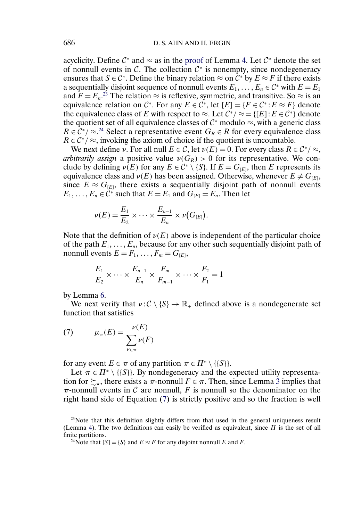<span id="page-32-0"></span>acyclicity. Define  $\mathcal{C}^*$  and  $\approx$  as in the [proof](#page-25-0) of Lemma [4.](#page-25-0) Let  $\mathcal{C}^*$  denote the set of nonnull events in  $\mathcal{C}$ . The collection  $\mathcal{C}^*$  is nonempty, since nondegeneracy ensures that  $S \in \mathcal{C}^*$ . Define the binary relation  $\approx$  on  $\mathcal{C}^*$  by  $E \approx F$  if there exists a sequentially disjoint sequence of nonnull events  $E_1, \ldots, E_n \in \mathcal{C}^*$  with  $E = E_1$ and  $F = E_n$ <sup>23</sup> The relation  $\approx$  is reflexive, symmetric, and transitive. So  $\approx$  is an equivalence relation on  $\mathcal{C}^*$ . For any  $E \in \mathcal{C}^*$ , let  $[E] = \{F \in \mathcal{C}^* : E \approx F\}$  denote the equivalence class of E with respect to  $\approx$ . Let  $\mathcal{C}^*/\approx = \{[E]: E \in \mathcal{C}^*\}\$  denote the quotient set of all equivalence classes of  $C^*$  modulo  $\approx$ , with a generic class  $R \in C^*/\approx^{24}$  Select a representative event  $G_R \in R$  for every equivalence class  $R \in C^*/\approx$ , invoking the axiom of choice if the quotient is uncountable.

We next define v. For all null  $E \in \mathcal{C}$ , let  $v(E) = 0$ . For every class  $R \in \mathcal{C}^*/\approx$ , *arbitrarily assign* a positive value  $\nu(G_R) > 0$  for its representative. We conclude by defining  $\nu(E)$  for any  $E \in C^* \setminus \{S\}$ . If  $E = G_{[E]}$ , then E represents its equivalence class and  $\nu(E)$  has been assigned. Otherwise, whenever  $E \neq G_{(E)}$ , since  $E \approx G_{\text{EE}}$ , there exists a sequentially disjoint path of nonnull events  $E_1, \ldots, E_n \in \mathcal{C}^*$  such that  $E = E_1$  and  $G_{[E]} = E_n$ . Then let

$$
\nu(E) = \frac{E_1}{E_2} \times \cdots \times \frac{E_{n-1}}{E_n} \times \nu(G_{[E]}).
$$

Note that the definition of  $\nu(E)$  above is independent of the particular choice of the path  $E_1, \ldots, E_n$ , because for any other such sequentially disjoint path of nonnull events  $E = F_1, \ldots, F_m = G_{[E]},$ 

$$
\frac{E_1}{E_2} \times \cdots \times \frac{E_{n-1}}{E_n} \times \frac{F_m}{F_{m-1}} \times \cdots \times \frac{F_2}{F_1} = 1
$$

by Lemma [6.](#page-30-0)

We next verify that  $v : \mathcal{C} \setminus \{S\} \to \mathbb{R}_+$  defined above is a nondegenerate set function that satisfies

(7) 
$$
\mu_{\pi}(E) = \frac{\nu(E)}{\sum_{F \in \pi} \nu(F)}
$$

for any event  $E \in \pi$  of any partition  $\pi \in \Pi^* \setminus \{\{S\}\}.$ 

Let  $\pi \in \Pi^* \setminus \{\{S\}\}\$ . By nondegeneracy and the expected utility representation for  $\succsim_{\pi}$ , there exists a  $\pi$ -nonnull  $F \in \pi$ . Then, since Lemma [3](#page-23-0) implies that  $\pi$ -nonnull events in C are nonnull, F is nonnull so the denominator on the right hand side of Equation (7) is strictly positive and so the fraction is well

 $2<sup>23</sup>$  Note that this definition slightly differs from that used in the general uniqueness result (Lemma [4\)](#page-25-0). The two definitions can easily be verified as equivalent, since  $\Pi$  is the set of all finite partitions.

<sup>&</sup>lt;sup>24</sup>Note that  $[S] = \{S\}$  and  $E \approx F$  for any disjoint nonnull E and F.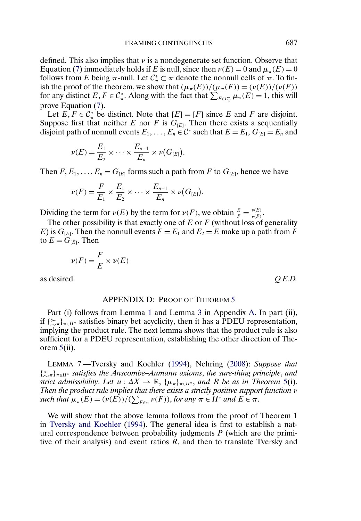<span id="page-33-0"></span>defined. This also implies that  $\nu$  is a nondegenerate set function. Observe that Equation [\(7\)](#page-32-0) immediately holds if E is null, since then  $\nu(E) = 0$  and  $\mu_{\pi}(E) = 0$ follows from E being  $\pi$ -null. Let  $C^*_{\pi} \subset \pi$  denote the nonnull cells of  $\pi$ . To finish the proof of the theorem, we show that  $(\mu_{\pi}(E))/(\mu_{\pi}(F)) = (\nu(E))/(\nu(F))$ for any distinct  $E, F \in C^*_\pi$ . Along with the fact that  $\sum_{E \in C^*_\pi} \mu_\pi(E) = 1$ , this will prove Equation [\(7\)](#page-32-0).

Let  $E, F \in C^*$  be distinct. Note that  $[E] = [F]$  since E and F are disjoint. Suppose first that neither E nor F is  $G_{[E]}$ . Then there exists a sequentially disjoint path of nonnull events  $E_1, \ldots, E_n \in \mathcal{C}^*$  such that  $E = E_1, G_{[E]} = E_n$  and

$$
\nu(E) = \frac{E_1}{E_2} \times \cdots \times \frac{E_{n-1}}{E_n} \times \nu(G_{[E]}).
$$

Then  $F, E_1, \ldots, E_n = G_{[E]}$  forms such a path from F to  $G_{[E]}$ , hence we have

$$
\nu(F) = \frac{F}{E_1} \times \frac{E_1}{E_2} \times \cdots \times \frac{E_{n-1}}{E_n} \times \nu(G_{[E]}).
$$

Dividing the term for  $\nu(E)$  by the term for  $\nu(F)$ , we obtain  $\frac{E}{F} = \frac{\nu(E)}{\nu(F)}$ .

The other possibility is that exactly one of  $E$  or  $F$  (without loss of generality E) is  $G_{[E]}$ . Then the nonnull events  $F = E_1$  and  $E_2 = E$  make up a path from F to  $E = G_{[E]}$ . Then

$$
\nu(F) = \frac{F}{E} \times \nu(E)
$$

as desired. *Q.E.D.*

#### APPENDIX D: PROOF OF THEOREM [5](#page-18-0)

Part (i) follows from Lemma [1](#page-22-0) and Lemma [3](#page-23-0) in Appendix [A.](#page-22-0) In part (ii), if  $\{\sum_{\pi}\}_{\pi \in \Pi^*}$  satisfies binary bet acyclicity, then it has a PDEU representation, implying the product rule. The next lemma shows that the product rule is also sufficient for a PDEU representation, establishing the other direction of Theorem  $5(ii)$  $5(ii)$ .

LEMMA 7 —Tversky and Koehler [\(1994\)](#page-41-0), Nehring [\(2008\)](#page-40-0): *Suppose that* {-<sup>π</sup>}π∈Π<sup>∗</sup> *satisfies the Anscombe–Aumann axioms*, *the sure-thing principle*, *and strict admissibility. Let*  $u : \Delta X \to \mathbb{R}$ ,  $\{\mu_{\pi}\}_{\pi \in \Pi^*}$ , and R *be as in Theorem* [5\(](#page-18-0)i). *Then the product rule implies that there exists a strictly positive support function v such that*  $\mu_{\pi}(E) = (\nu(E)) / (\sum_{F \in \pi} \nu(F))$ , *for any*  $\pi \in \Pi^*$  *and*  $E \in \pi$ .

We will show that the above lemma follows from the proof of Theorem 1 in [Tversky and Koehler](#page-41-0) [\(1994\)](#page-41-0). The general idea is first to establish a natural correspondence between probability judgments  $P$  (which are the primitive of their analysis) and event ratios  $R$ , and then to translate Tversky and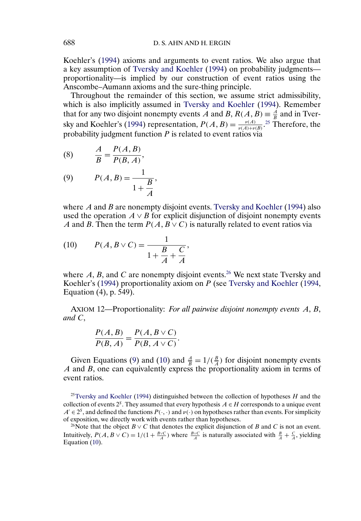<span id="page-34-0"></span>Koehler's [\(1994\)](#page-41-0) axioms and arguments to event ratios. We also argue that a key assumption of [Tversky and Koehler](#page-41-0) [\(1994\)](#page-41-0) on probability judgments proportionality—is implied by our construction of event ratios using the Anscombe–Aumann axioms and the sure-thing principle.

Throughout the remainder of this section, we assume strict admissibility, which is also implicitly assumed in [Tversky and Koehler](#page-41-0) [\(1994\)](#page-41-0). Remember that for any two disjoint nonempty events A and B,  $R(A, B) \equiv \frac{A}{B}$  and in Tver-sky and Koehler's [\(1994\)](#page-41-0) representation,  $P(A, B) = \frac{\nu(A)}{\nu(A) + \nu(B)}$ .<sup>25</sup> Therefore, the probability judgment function  $P$  is related to event ratios via

$$
(8) \qquad \frac{A}{B} = \frac{P(A,B)}{P(B,A)},
$$

(9) 
$$
P(A, B) = \frac{1}{1 + \frac{B}{A}},
$$

where  $A$  and  $B$  are nonempty disjoint events. [Tversky and Koehler](#page-41-0) [\(1994\)](#page-41-0) also used the operation  $A \vee B$  for explicit disjunction of disjoint nonempty events A and B. Then the term  $P(A, B \vee C)$  is naturally related to event ratios via

(10) 
$$
P(A, B \vee C) = \frac{1}{1 + \frac{B}{A} + \frac{C}{A}},
$$

where  $A$ ,  $B$ , and  $C$  are nonempty disjoint events.<sup>26</sup> We next state Tversky and Koehler's [\(1994\)](#page-41-0) proportionality axiom on P (see [Tversky and Koehler](#page-41-0) [\(1994,](#page-41-0) Equation (4), p. 549).

AXIOM 12—Proportionality: *For all pairwise disjoint nonempty events* A, B, *and* C,

$$
\frac{P(A,B)}{P(B,A)} = \frac{P(A,B \vee C)}{P(B,A \vee C)}.
$$

Given Equations (9) and (10) and  $\frac{A}{B} = 1/(\frac{B}{A})$  for disjoint nonempty events  $A$  and  $B$ , one can equivalently express the proportionality axiom in terms of event ratios.

<sup>25</sup>Tversky and Koehler [\(1994\)](#page-41-0) distinguished between the collection of hypotheses  $H$  and the collection of events  $2<sup>S</sup>$ . They assumed that every hypothesis  $A \in H$  corresponds to a unique event  $A' \in 2^S$ , and defined the functions  $P(\cdot, \cdot)$  and  $\nu(\cdot)$  on hypotheses rather than events. For simplicity of exposition, we directly work with events rather than hypotheses.

<sup>26</sup>Note that the object  $B \vee C$  that denotes the explicit disjunction of B and C is not an event. Intuitively,  $P(A, B \vee C) = 1/(1 + \frac{B \vee C}{A})$  where  $\frac{B \vee C}{A}$  is naturally associated with  $\frac{B}{A} + \frac{C}{A}$ , yielding Equation (10).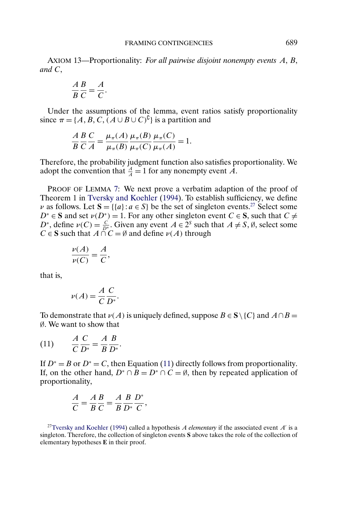<span id="page-35-0"></span>AXIOM 13—Proportionality: *For all pairwise disjoint nonempty events* A, B, *and* C,

$$
\frac{A}{B}\frac{B}{C} = \frac{A}{C}.
$$

Under the assumptions of the lemma, event ratios satisfy proportionality since  $\pi = \{A, B, C, (A \cup B \cup C)^{\complement}\}\$ is a partition and

$$
\frac{A}{B}\frac{B}{C}\frac{C}{A} = \frac{\mu_{\pi}(A)}{\mu_{\pi}(B)}\frac{\mu_{\pi}(B)}{\mu_{\pi}(C)}\frac{\mu_{\pi}(C)}{\mu_{\pi}(A)} = 1.
$$

Therefore, the probability judgment function also satisfies proportionality. We adopt the convention that  $\frac{A}{A} = 1$  for any nonempty event A.

PROOF OF LEMMA [7:](#page-33-0) We next prove a verbatim adaption of the proof of Theorem 1 in [Tversky and Koehler](#page-41-0) [\(1994\)](#page-41-0). To establish sufficiency, we define *v* as follows. Let  $S = \{ \{a\} : a \in S \}$  be the set of singleton events.<sup>27</sup> Select some  $D^* \in \mathbf{S}$  and set  $v(D^*) = 1$ . For any other singleton event  $C \in \mathbf{S}$ , such that  $C \neq$  $D^*$ , define  $\nu(C) = \frac{C}{D^*}$ . Given any event  $A \in 2^S$  such that  $A \neq S$ ,  $\emptyset$ , select some  $C \in S$  such that  $A \cap C = \emptyset$  and define  $\nu(A)$  through

$$
\frac{\nu(A)}{\nu(C)} = \frac{A}{C},
$$

that is,

$$
\nu(A) = \frac{A C}{C D^*}.
$$

To demonstrate that  $\nu(A)$  is uniquely defined, suppose  $B \in S \setminus \{C\}$  and  $A \cap B =$ ∅. We want to show that

$$
(11) \qquad \frac{A}{C}\frac{C}{D^*} = \frac{A}{B}\frac{B}{D^*}.
$$

If  $D^* = B$  or  $D^* = C$ , then Equation (11) directly follows from proportionality. If, on the other hand,  $D^* \cap B = D^* \cap C = \emptyset$ , then by repeated application of proportionality,

$$
\frac{A}{C} = \frac{A}{B}\frac{B}{C} = \frac{A}{B}\frac{B}{D^*}\frac{D^*}{C},
$$

<sup>27</sup>Tversky and Koehler [\(1994\)](#page-41-0) called a hypothesis A *elementary* if the associated event  $A'$  is a singleton. Therefore, the collection of singleton events **S** above takes the role of the collection of elementary hypotheses **E** in their proof.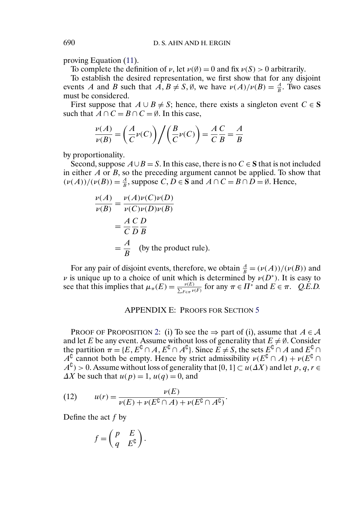<span id="page-36-0"></span>proving Equation [\(11\)](#page-35-0).

To complete the definition of  $\nu$ , let  $\nu(\emptyset) = 0$  and fix  $\nu(S) > 0$  arbitrarily.

To establish the desired representation, we first show that for any disjoint events A and B such that  $A, B \neq S, \emptyset$ , we have  $\nu(A)/\nu(B) = \frac{A}{B}$ . Two cases must be considered.

First suppose that  $A \cup B \neq S$ ; hence, there exists a singleton event  $C \in S$ such that  $A \cap C = B \cap C = \emptyset$ . In this case,

$$
\frac{\nu(A)}{\nu(B)} = \left(\frac{A}{C}\nu(C)\right) \bigg/ \left(\frac{B}{C}\nu(C)\right) = \frac{A}{C}\frac{C}{B} = \frac{A}{B}
$$

by proportionality.

Second, suppose  $A \cup B = S$ . In this case, there is no  $C \in S$  that is not included in either  $A$  or  $B$ , so the preceding argument cannot be applied. To show that  $(\nu(A))/(\nu(B)) = \frac{A}{B}$ , suppose *C*, *D*  $\in$  **S** and *A*  $\cap$  *C* = *B*  $\cap$  *D* = *Ø*. Hence,

$$
\frac{\nu(A)}{\nu(B)} = \frac{\nu(A)\nu(C)\nu(D)}{\nu(C)\nu(D)\nu(B)}
$$
  
=  $\frac{A}{C}\frac{C}{D}\frac{D}{B}$   
=  $\frac{A}{B}$  (by the product rule).

For any pair of disjoint events, therefore, we obtain  $\frac{A}{B} = (\nu(A))/(\nu(B))$  and  $\nu$  is unique up to a choice of unit which is determined by  $\nu(D^*)$ . It is easy to see that this implies that  $\mu_{\pi}(E) = \frac{\nu(E)}{\sum_{F \in \pi} \nu(F)}$  for any  $\pi \in \Pi^*$  and  $E \in \pi$ . *Q.E.D.* 

## APPENDIX E: PROOFS FOR SECTION [5](#page-18-0)

PROOF OF PROPOSITION [2:](#page-19-0) (i) To see the  $\Rightarrow$  part of (i), assume that  $A \in \mathcal{A}$ and let E be any event. Assume without loss of generality that  $E \neq \emptyset$ . Consider the partition  $\pi = \{E, E^C \cap A, E^C \cap A^C\}$ . Since  $E \neq S$ , the sets  $E^C \cap A$  and  $E^C \cap A$  $A^{\mathfrak{c}}$  cannot both be empty. Hence by strict admissibility  $\nu(E^{\mathfrak{c}} \cap A) + \nu(E^{\mathfrak{c}} \cap A)$  $A^{\complement}$  > 0. Assume without loss of generality that [0, 1]  $\subset u(\varDelta X)$  and let  $p, q, r \in \mathbb{R}$  $\Delta X$  be such that  $u(p) = 1$ ,  $u(q) = 0$ , and

(12) 
$$
u(r) = \frac{\nu(E)}{\nu(E) + \nu(E^{\complement} \cap A) + \nu(E^{\complement} \cap A^{\complement})}.
$$

Define the act  $f$  by

$$
f = \begin{pmatrix} p & E \\ q & E^{\complement} \end{pmatrix}.
$$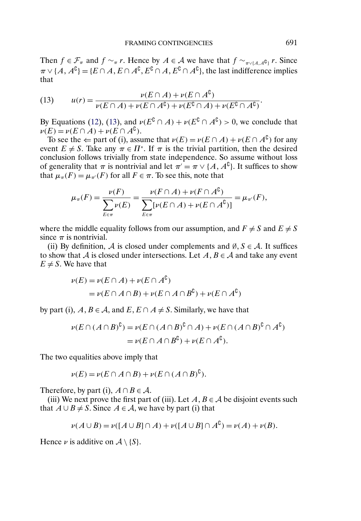Then  $f \in \mathcal{F}_{\pi}$  and  $f \sim_{\pi} r$ . Hence by  $A \in \mathcal{A}$  we have that  $f \sim_{\pi \vee \{A, A^{\complement}\}} r$ . Since  $\pi \vee \{A, A^{\complement}\} = \{E \cap A, E \cap A^{\complement}, E^{\complement} \cap A, E^{\complement} \cap A^{\complement}\},\$ the last indifference implies that

(13) 
$$
u(r) = \frac{\nu(E \cap A) + \nu(E \cap A^{c})}{\nu(E \cap A) + \nu(E \cap A^{c}) + \nu(E^{c} \cap A) + \nu(E^{c} \cap A^{c})}.
$$

By Equations [\(12\)](#page-36-0), (13), and  $\nu(E^{\mathcal{C}} \cap A) + \nu(E^{\mathcal{C}} \cap A^{\mathcal{C}}) > 0$ , we conclude that  $\nu(E) = \nu(E \cap A) + \nu(E \cap A^{C}).$ 

To see the  $\Leftarrow$  part of (i), assume that  $\nu(E) = \nu(E \cap A) + \nu(E \cap A^{\mathbb{C}})$  for any event  $E \neq S$ . Take any  $\pi \in \Pi^*$ . If  $\pi$  is the trivial partition, then the desired conclusion follows trivially from state independence. So assume without loss of generality that  $\pi$  is nontrivial and let  $\pi' = \pi \vee \{A, A^{\complement}\}\)$ . It suffices to show that  $\mu_{\pi}(F) = \mu_{\pi'}(F)$  for all  $F \in \pi$ . To see this, note that

$$
\mu_{\pi}(F) = \frac{\nu(F)}{\sum_{E \in \pi} \nu(E)} = \frac{\nu(F \cap A) + \nu(F \cap A^{\complement})}{\sum_{E \in \pi} [\nu(E \cap A) + \nu(E \cap A^{\complement})]} = \mu_{\pi'}(F),
$$

where the middle equality follows from our assumption, and  $F \neq S$  and  $E \neq S$ since  $\pi$  is nontrivial.

(ii) By definition, A is closed under complements and  $\emptyset$ ,  $S \in \mathcal{A}$ . It suffices to show that A is closed under intersections. Let  $A, B \in \mathcal{A}$  and take any event  $E \neq S$ . We have that

$$
\nu(E) = \nu(E \cap A) + \nu(E \cap A^{C})
$$
  
=  $\nu(E \cap A \cap B) + \nu(E \cap A \cap B^{C}) + \nu(E \cap A^{C})$ 

by part (i),  $A, B \in \mathcal{A}$ , and  $E, E \cap A \neq S$ . Similarly, we have that

$$
\nu(E \cap (A \cap B)^{\complement}) = \nu(E \cap (A \cap B)^{\complement} \cap A) + \nu(E \cap (A \cap B)^{\complement} \cap A^{\complement})
$$
  
=  $\nu(E \cap A \cap B^{\complement}) + \nu(E \cap A^{\complement}).$ 

The two equalities above imply that

$$
\nu(E) = \nu(E \cap A \cap B) + \nu(E \cap (A \cap B)^{\mathfrak{b}}).
$$

Therefore, by part (i),  $A \cap B \in \mathcal{A}$ .

(iii) We next prove the first part of (iii). Let  $A, B \in \mathcal{A}$  be disjoint events such that  $A ∪ B ≠ S$ . Since  $A ∈ A$ , we have by part (i) that

$$
\nu(A \cup B) = \nu([A \cup B] \cap A) + \nu([A \cup B] \cap A^{C}) = \nu(A) + \nu(B).
$$

Hence  $\nu$  is additive on  $\mathcal{A} \setminus \{S\}.$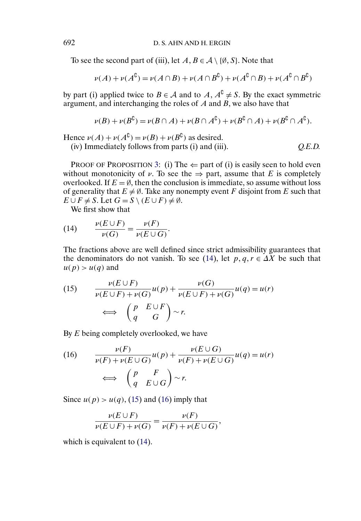<span id="page-38-0"></span>To see the second part of (iii), let  $A, B \in \mathcal{A} \setminus \{\emptyset, S\}$ . Note that

$$
\nu(A) + \nu(A^{\complement}) = \nu(A \cap B) + \nu(A \cap B^{\complement}) + \nu(A^{\complement} \cap B) + \nu(A^{\complement} \cap B^{\complement})
$$

by part (i) applied twice to  $B \in \mathcal{A}$  and to  $A, A^C \neq S$ . By the exact symmetric argument, and interchanging the roles of A and B, we also have that

$$
\nu(B) + \nu(B^{\complement}) = \nu(B \cap A) + \nu(B \cap A^{\complement}) + \nu(B^{\complement} \cap A) + \nu(B^{\complement} \cap A^{\complement}).
$$

Hence  $\nu(A) + \nu(A^{c}) = \nu(B) + \nu(B^{c})$  as desired.

(iv) Immediately follows from parts (i) and (iii). *Q.E.D.*

PROOF OF PROPOSITION [3:](#page-21-0) (i) The  $\Leftarrow$  part of (i) is easily seen to hold even without monotonicity of  $\nu$ . To see the  $\Rightarrow$  part, assume that E is completely overlooked. If  $E = \emptyset$ , then the conclusion is immediate, so assume without loss of generality that  $E \neq \emptyset$ . Take any nonempty event F disjoint from E such that  $E \cup F \neq S$ . Let  $G = S \setminus (E \cup F) \neq \emptyset$ .

We first show that

(14) 
$$
\frac{\nu(E \cup F)}{\nu(G)} = \frac{\nu(F)}{\nu(E \cup G)}.
$$

The fractions above are well defined since strict admissibility guarantees that the denominators do not vanish. To see (14), let  $p, q, r \in \Delta X$  be such that  $u(p) > u(q)$  and

(15) 
$$
\frac{\nu(E \cup F)}{\nu(E \cup F) + \nu(G)} u(p) + \frac{\nu(G)}{\nu(E \cup F) + \nu(G)} u(q) = u(r)
$$

$$
\iff \begin{pmatrix} p & E \cup F \\ q & G \end{pmatrix} \sim r.
$$

By E being completely overlooked, we have

(16) 
$$
\frac{\nu(F)}{\nu(F) + \nu(E \cup G)} u(p) + \frac{\nu(E \cup G)}{\nu(F) + \nu(E \cup G)} u(q) = u(r)
$$

$$
\iff \begin{pmatrix} p & F \\ q & E \cup G \end{pmatrix} \sim r.
$$

Since  $u(p) > u(q)$ , (15) and (16) imply that

$$
\frac{\nu(E \cup F)}{\nu(E \cup F) + \nu(G)} = \frac{\nu(F)}{\nu(F) + \nu(E \cup G)},
$$

which is equivalent to  $(14)$ .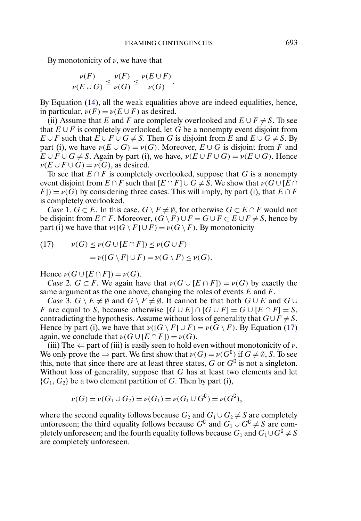By monotonicity of  $\nu$ , we have that

$$
\frac{\nu(F)}{\nu(E\cup G)}\leq \frac{\nu(F)}{\nu(G)}\leq \frac{\nu(E\cup F)}{\nu(G)}.
$$

By Equation [\(14\)](#page-38-0), all the weak equalities above are indeed equalities, hence, in particular,  $\nu(F) = \nu(E \cup F)$  as desired.

(ii) Assume that E and F are completely overlooked and  $E \cup F \neq S$ . To see that  $E \cup F$  is completely overlooked, let G be a nonempty event disjoint from  $E \cup F$  such that  $E \cup F \cup G \neq S$ . Then G is disjoint from E and  $E \cup G \neq S$ . By part (i), we have  $\nu(E \cup G) = \nu(G)$ . Moreover,  $E \cup G$  is disjoint from F and  $E \cup F \cup G \neq S$ . Again by part (i), we have,  $\nu(E \cup F \cup G) = \nu(E \cup G)$ . Hence  $\nu(E \cup F \cup G) = \nu(G)$ , as desired.

To see that  $E \cap F$  is completely overlooked, suppose that G is a nonempty event disjoint from  $E \cap F$  such that  $[E \cap F] \cup G \neq S$ . We show that  $\nu(G \cup [E \cap F])$  $F$ [) =  $\nu(G)$  by considering three cases. This will imply, by part (i), that  $E \cap F$ is completely overlooked.

*Case* 1,  $G \subset E$ . In this case,  $G \setminus F \neq \emptyset$ , for otherwise  $G \subset E \cap F$  would not be disjoint from  $E \cap F$ . Moreover,  $(G \setminus F) \cup F = G \cup F \subset E \cup F \neq S$ , hence by part (i) we have that  $\nu([G \setminus F] \cup F) = \nu(G \setminus F)$ . By monotonicity

(17) 
$$
\nu(G) \le \nu(G \cup [E \cap F]) \le \nu(G \cup F)
$$

$$
= \nu([G \setminus F] \cup F) = \nu(G \setminus F) \le \nu(G).
$$

Hence  $\nu(G \cup [E \cap F]) = \nu(G)$ .

*Case* 2.  $G \subset F$ . We again have that  $\nu(G \cup [E \cap F]) = \nu(G)$  by exactly the same argument as the one above, changing the roles of events  $E$  and  $F$ .

*Case* 3.  $G \setminus E \neq \emptyset$  and  $G \setminus F \neq \emptyset$ . It cannot be that both  $G \cup E$  and  $G \cup$ F are equal to S, because otherwise  $[G \cup E] \cap [G \cup F] = G \cup [E \cap F] = S$ , contradicting the hypothesis. Assume without loss of generality that  $G \cup F \neq S$ . Hence by part (i), we have that  $\nu([G \setminus F] \cup F) = \nu(G \setminus F)$ . By Equation (17) again, we conclude that  $\nu(G \cup [E \cap F]) = \nu(G)$ .

(iii) The  $\Leftarrow$  part of (iii) is easily seen to hold even without monotonicity of  $\nu$ . We only prove the  $\Rightarrow$  part. We first show that  $\nu(G) = \nu(G^{\complement})$  if  $G \neq \emptyset$ , S. To see this, note that since there are at least three states, G or  $G^{\complement}$  is not a singleton. Without loss of generality, suppose that  $G$  has at least two elements and let  ${G_1, G_2}$  be a two element partition of G. Then by part (i),

$$
\nu(G) = \nu(G_1 \cup G_2) = \nu(G_1) = \nu(G_1 \cup G^{\complement}) = \nu(G^{\complement}),
$$

where the second equality follows because  $G_2$  and  $G_1 \cup G_2 \neq S$  are completely unforeseen; the third equality follows because  $G^{\complement}$  and  $G_1 \cup G^{\complement} \neq S$  are completely unforeseen; and the fourth equality follows because  $G_1$  and  $G_1\cup G^\complement\neq S$ are completely unforeseen.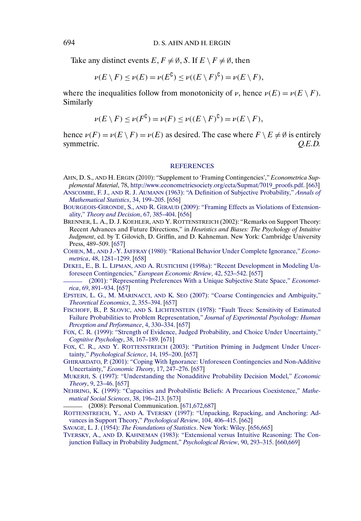<span id="page-40-0"></span>Take any distinct events  $E, F \neq \emptyset$ , S. If  $E \setminus F \neq \emptyset$ , then

$$
\nu(E \setminus F) \le \nu(E) = \nu(E^{\mathbb{C}}) \le \nu((E \setminus F)^{\mathbb{C}}) = \nu(E \setminus F),
$$

where the inequalities follow from monotonicity of  $\nu$ , hence  $\nu(E) = \nu(E \setminus F)$ . Similarly

$$
\nu(E \setminus F) \le \nu(F^{\mathbb{C}}) = \nu(F) \le \nu((E \setminus F)^{\mathbb{C}}) = \nu(E \setminus F),
$$

hence  $\nu(F) = \nu(E \setminus F) = \nu(E)$  as desired. The case where  $F \setminus E \neq \emptyset$  is entirely symmetric.  $Q.E.D.$ 

#### **[REFERENCES](http://www.e-publications.org/srv/ecta/linkserver/setprefs?rfe_id=urn:sici%2F0012-9682%28201003%2978%3A2%3C655%3AFC%3E2.0.CO%3B2-S)**

- AHN, D. S., AND H. ERGIN (2010): "Supplement to 'Framing Contingencies'," *Econometrica Supplemental Material*, 78, [http://www.econometricsociety.org/ecta/Supmat/7019\\_proofs.pdf](http://www.econometricsociety.org/ecta/Supmat/7019_proofs.pdf). [\[663\]](#page-8-0)
- ANSCOMBE, F. J., AND R. J. AUMANN [\(1963\): "A Definition of Subjective Probability,"](http://www.e-publications.org/srv/ecta/linkserver/openurl?rft_dat=bib:2/anau63&rfe_id=urn:sici%2F0012-9682%28201003%2978%3A2%3C655%3AFC%3E2.0.CO%3B2-S) *Annals of [Mathematical Statistics](http://www.e-publications.org/srv/ecta/linkserver/openurl?rft_dat=bib:2/anau63&rfe_id=urn:sici%2F0012-9682%28201003%2978%3A2%3C655%3AFC%3E2.0.CO%3B2-S)*, 34, 199–205. [\[656\]](#page-1-0)
- BOURGEOIS-GIRONDE, S., AND R. GIRAUD [\(2009\): "Framing Effects as Violations of Extension](http://www.e-publications.org/srv/ecta/linkserver/openurl?rft_dat=bib:3/bogi06&rfe_id=urn:sici%2F0012-9682%28201003%2978%3A2%3C655%3AFC%3E2.0.CO%3B2-S)ality," *[Theory and Decision](http://www.e-publications.org/srv/ecta/linkserver/openurl?rft_dat=bib:3/bogi06&rfe_id=urn:sici%2F0012-9682%28201003%2978%3A2%3C655%3AFC%3E2.0.CO%3B2-S)*, 67, 385–404. [\[656\]](#page-1-0)
- BRENNER, L. A., D. J. KOEHLER, AND Y. ROTTENSTREICH (2002): "Remarks on Support Theory: Recent Advances and Future Directions," in *Heuristics and Biases: The Psychology of Intuitive Judgment*, ed. by T. Gilovich, D. Griffin, and D. Kahneman. New York: Cambridge University Press, 489–509. [\[657\]](#page-2-0)
- COHEN, M., AND J.-Y. JAFFRAY [\(1980\): "Rational Behavior Under Complete Ignorance,"](http://www.e-publications.org/srv/ecta/linkserver/openurl?rft_dat=bib:5/coja80&rfe_id=urn:sici%2F0012-9682%28201003%2978%3A2%3C655%3AFC%3E2.0.CO%3B2-S) *Econometrica*[, 48, 1281–1299.](http://www.e-publications.org/srv/ecta/linkserver/openurl?rft_dat=bib:5/coja80&rfe_id=urn:sici%2F0012-9682%28201003%2978%3A2%3C655%3AFC%3E2.0.CO%3B2-S) [\[658\]](#page-3-0)
- DEKEL, E., B. L. LIPMAN, AND A. RUSTICHINI [\(1998a\): "Recent Development in Modeling Un](http://www.e-publications.org/srv/ecta/linkserver/openurl?rft_dat=bib:6/deliru98a&rfe_id=urn:sici%2F0012-9682%28201003%2978%3A2%3C655%3AFC%3E2.0.CO%3B2-S)foreseen Contingencies," *[European Economic Review](http://www.e-publications.org/srv/ecta/linkserver/openurl?rft_dat=bib:6/deliru98a&rfe_id=urn:sici%2F0012-9682%28201003%2978%3A2%3C655%3AFC%3E2.0.CO%3B2-S)*, 42, 523–542. [\[657\]](#page-2-0)
- [\(2001\): "Representing Preferences With a Unique Subjective State Space,"](http://www.e-publications.org/srv/ecta/linkserver/openurl?rft_dat=bib:7/deliru01&rfe_id=urn:sici%2F0012-9682%28201003%2978%3A2%3C655%3AFC%3E2.0.CO%3B2-S) *Econometrica*[, 69, 891–934.](http://www.e-publications.org/srv/ecta/linkserver/openurl?rft_dat=bib:7/deliru01&rfe_id=urn:sici%2F0012-9682%28201003%2978%3A2%3C655%3AFC%3E2.0.CO%3B2-S) [\[657\]](#page-2-0)
- EPSTEIN, L. G., M. MARINACCI, AND K. SEO [\(2007\): "Coarse Contingencies and Ambiguity,"](http://www.e-publications.org/srv/ecta/linkserver/openurl?rft_dat=bib:8/epma05&rfe_id=urn:sici%2F0012-9682%28201003%2978%3A2%3C655%3AFC%3E2.0.CO%3B2-S) *[Theoretical Economics](http://www.e-publications.org/srv/ecta/linkserver/openurl?rft_dat=bib:8/epma05&rfe_id=urn:sici%2F0012-9682%28201003%2978%3A2%3C655%3AFC%3E2.0.CO%3B2-S)*, 2, 355–394. [\[657\]](#page-2-0)
- FISCHOFF, B., P. SLOVIC, AND S. LICHTENSTEIN [\(1978\): "Fault Trees: Sensitivity of Estimated](http://www.e-publications.org/srv/ecta/linkserver/openurl?rft_dat=bib:9/fislli78&rfe_id=urn:sici%2F0012-9682%28201003%2978%3A2%3C655%3AFC%3E2.0.CO%3B2-S) [Failure Probabilities to Problem Representation,"](http://www.e-publications.org/srv/ecta/linkserver/openurl?rft_dat=bib:9/fislli78&rfe_id=urn:sici%2F0012-9682%28201003%2978%3A2%3C655%3AFC%3E2.0.CO%3B2-S) *Journal of Experimental Psychology: Human [Perception and Performance](http://www.e-publications.org/srv/ecta/linkserver/openurl?rft_dat=bib:9/fislli78&rfe_id=urn:sici%2F0012-9682%28201003%2978%3A2%3C655%3AFC%3E2.0.CO%3B2-S)*, 4, 330–334. [\[657\]](#page-2-0)
- [FOX, C. R. \(1999\): "Strength of Evidence, Judged Probability, and Choice Under Uncertainty,"](http://www.e-publications.org/srv/ecta/linkserver/openurl?rft_dat=bib:10/fox99&rfe_id=urn:sici%2F0012-9682%28201003%2978%3A2%3C655%3AFC%3E2.0.CO%3B2-S) *[Cognitive Psychology](http://www.e-publications.org/srv/ecta/linkserver/openurl?rft_dat=bib:10/fox99&rfe_id=urn:sici%2F0012-9682%28201003%2978%3A2%3C655%3AFC%3E2.0.CO%3B2-S)*, 38, 167–189. [\[671\]](#page-16-0)
- FOX, C. R., AND Y. ROTTENSTREICH [\(2003\): "Partition Priming in Judgment Under Uncer](http://www.e-publications.org/srv/ecta/linkserver/openurl?rft_dat=bib:11/foro03&rfe_id=urn:sici%2F0012-9682%28201003%2978%3A2%3C655%3AFC%3E2.0.CO%3B2-S)tainty," *[Psychological Science](http://www.e-publications.org/srv/ecta/linkserver/openurl?rft_dat=bib:11/foro03&rfe_id=urn:sici%2F0012-9682%28201003%2978%3A2%3C655%3AFC%3E2.0.CO%3B2-S)*, 14, 195–200. [\[657\]](#page-2-0)
- [GHIRARDATO, P. \(2001\): "Coping With Ignorance: Unforeseen Contingencies and Non-Additive](http://www.e-publications.org/srv/ecta/linkserver/openurl?rft_dat=bib:12/ghirardato01&rfe_id=urn:sici%2F0012-9682%28201003%2978%3A2%3C655%3AFC%3E2.0.CO%3B2-S) Uncertainty," *[Economic Theory](http://www.e-publications.org/srv/ecta/linkserver/openurl?rft_dat=bib:12/ghirardato01&rfe_id=urn:sici%2F0012-9682%28201003%2978%3A2%3C655%3AFC%3E2.0.CO%3B2-S)*, 17, 247–276. [\[657\]](#page-2-0)
- [MUKERJI, S. \(1997\): "Understanding the Nonadditive Probability Decision Model,"](http://www.e-publications.org/srv/ecta/linkserver/openurl?rft_dat=bib:13/mukerji97&rfe_id=urn:sici%2F0012-9682%28201003%2978%3A2%3C655%3AFC%3E2.0.CO%3B2-S) *Economic Theory*[, 9, 23–46.](http://www.e-publications.org/srv/ecta/linkserver/openurl?rft_dat=bib:13/mukerji97&rfe_id=urn:sici%2F0012-9682%28201003%2978%3A2%3C655%3AFC%3E2.0.CO%3B2-S) [\[657\]](#page-2-0)
- [NEHRING, K. \(1999\): "Capacities and Probabilistic Beliefs: A Precarious Coexistence,"](http://www.e-publications.org/srv/ecta/linkserver/openurl?rft_dat=bib:14/nehring99a&rfe_id=urn:sici%2F0012-9682%28201003%2978%3A2%3C655%3AFC%3E2.0.CO%3B2-S) *Mathe[matical Social Sciences](http://www.e-publications.org/srv/ecta/linkserver/openurl?rft_dat=bib:14/nehring99a&rfe_id=urn:sici%2F0012-9682%28201003%2978%3A2%3C655%3AFC%3E2.0.CO%3B2-S)*, 38, 196–213. [\[673\]](#page-18-0)
	- (2008): Personal Communication. [\[671,672](#page-16-0)[,687\]](#page-17-0)
- ROTTENSTREICH, Y., AND A. TVERSKY [\(1997\): "Unpacking, Repacking, and Anchoring: Ad](http://www.e-publications.org/srv/ecta/linkserver/openurl?rft_dat=bib:16/rotv97&rfe_id=urn:sici%2F0012-9682%28201003%2978%3A2%3C655%3AFC%3E2.0.CO%3B2-S)[vances in Support Theory,"](http://www.e-publications.org/srv/ecta/linkserver/openurl?rft_dat=bib:16/rotv97&rfe_id=urn:sici%2F0012-9682%28201003%2978%3A2%3C655%3AFC%3E2.0.CO%3B2-S) *Psychological Review*, 104, 406–415. [\[662\]](#page-7-0)
- SAVAGE, L. J. (1954): *[The Foundations of Statistics](http://www.e-publications.org/srv/ecta/linkserver/openurl?rft_dat=bib:17/savage54&rfe_id=urn:sici%2F0012-9682%28201003%2978%3A2%3C655%3AFC%3E2.0.CO%3B2-S)*. New York: Wiley. [\[656,665\]](#page-1-0)
- TVERSKY, A., AND D. KAHNEMAN [\(1983\): "Extensional versus Intuitive Reasoning: The Con](http://www.e-publications.org/srv/ecta/linkserver/openurl?rft_dat=bib:18/tvka83&rfe_id=urn:sici%2F0012-9682%28201003%2978%3A2%3C655%3AFC%3E2.0.CO%3B2-S)[junction Fallacy in Probability Judgment,"](http://www.e-publications.org/srv/ecta/linkserver/openurl?rft_dat=bib:18/tvka83&rfe_id=urn:sici%2F0012-9682%28201003%2978%3A2%3C655%3AFC%3E2.0.CO%3B2-S) *Psychological Review*, 90, 293–315. [\[660,669\]](#page-5-0)